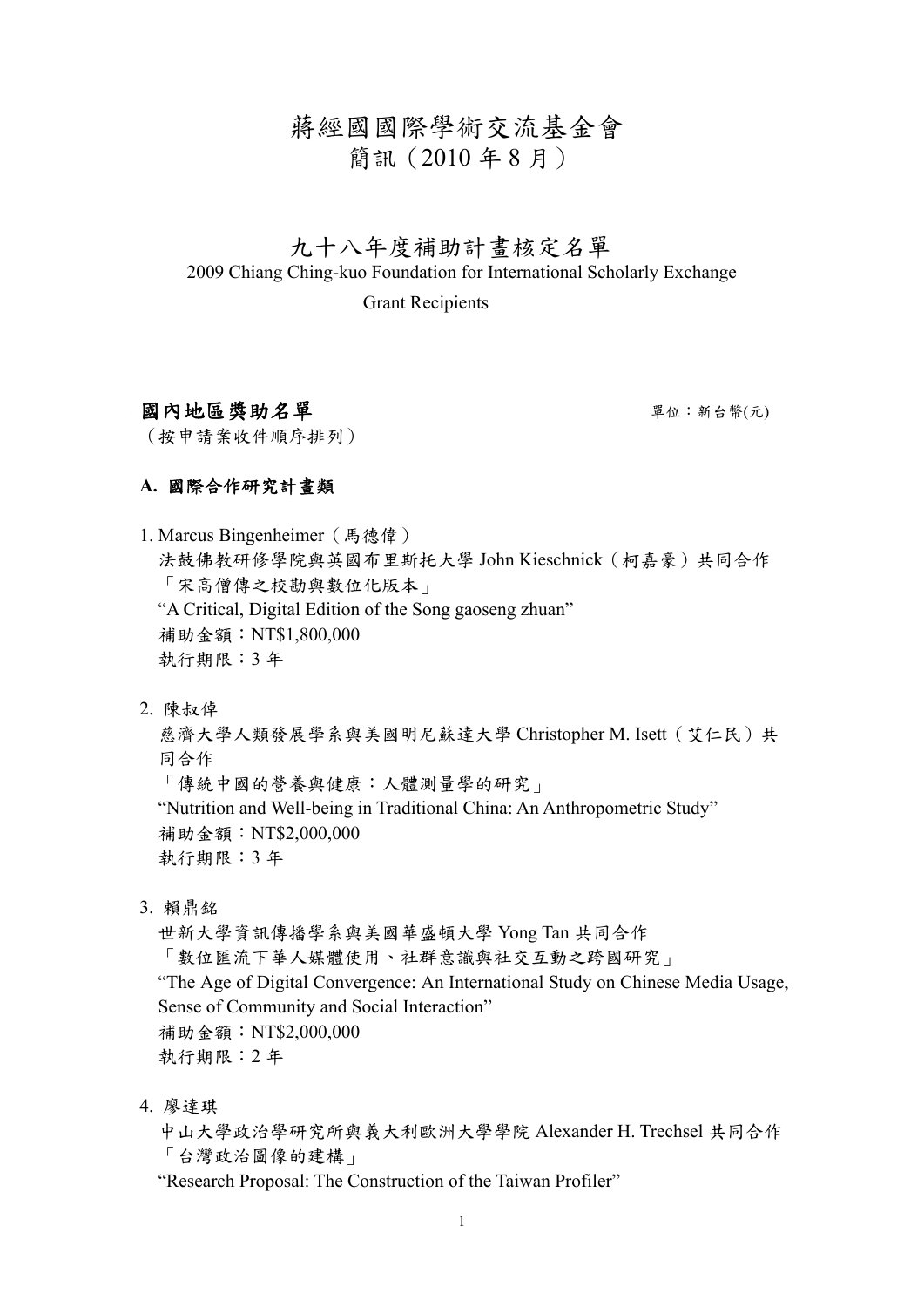# 蔣經國國際學術交流基金會 簡訊(2010 年 8 月)

# 九十八年度補助計畫核定名單 2009 Chiang Ching-kuo Foundation for International Scholarly Exchange

Grant Recipients

## 國內地區獎助名單 單位: 新台幣(元)

(按申請案收件順序排列)

#### **A.** 國際合作研究計畫類

1. Marcus Bingenheimer(馬德偉) 法鼓佛教研修學院與英國布里斯托大學 John Kieschnick(柯嘉豪)共同合作 「宋高僧傳之校勘與數位化版本」 "A Critical, Digital Edition of the Song gaoseng zhuan" 補助金額:NT\$1,800,000 執行期限:3 年

2. 陳叔倬

慈濟大學人類發展學系與美國明尼蘇達大學 Christopher M. Isett(艾仁民)共 同合作

「傳統中國的營養與健康:人體測量學的研究」

"Nutrition and Well-being in Traditional China: An Anthropometric Study" 補助金額:NT\$2,000,000

執行期限:3 年

3. 賴鼎銘

世新大學資訊傳播學系與美國華盛頓大學 Yong Tan 共同合作 「數位匯流下華人媒體使用、社群意識與社交互動之跨國研究」 "The Age of Digital Convergence: An International Study on Chinese Media Usage, Sense of Community and Social Interaction" 補助金額:NT\$2,000,000 執行期限:2 年

4. 廖達琪

中山大學政治學研究所與義大利歐洲大學學院 Alexander H. Trechsel 共同合作 「台灣政治圖像的建構」

"Research Proposal: The Construction of the Taiwan Profiler"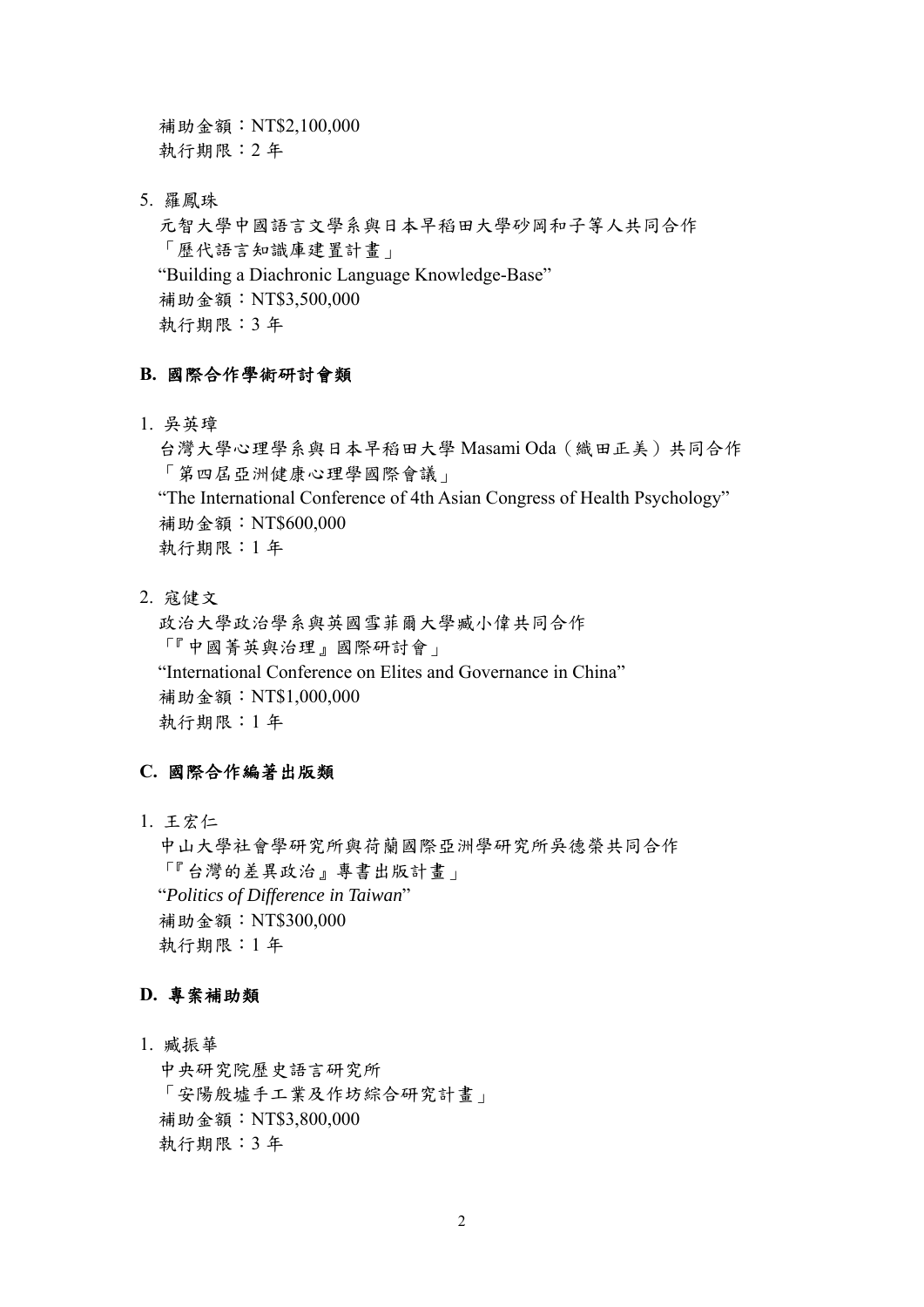補助金額:NT\$2,100,000 執行期限:2 年

5. 羅鳳珠

元智大學中國語言文學系與日本早稻田大學砂岡和子等人共同合作 「歷代語言知識庫建置計畫」 "Building a Diachronic Language Knowledge-Base" 補助金額:NT\$3,500,000 執行期限:3 年

#### **B.** 國際合作學術研討會類

1. 吳英璋

台灣大學心理學系與日本早稻田大學 Masami Oda(織田正美)共同合作 「第四屆亞洲健康心理學國際會議」 "The International Conference of 4th Asian Congress of Health Psychology" 補助金額:NT\$600,000 執行期限:1 年

2. 寇健文

政治大學政治學系與英國雪菲爾大學臧小偉共同合作 「『中國菁英與治理』國際研討會」 "International Conference on Elites and Governance in China" 補助金額:NT\$1,000,000 執行期限:1 年

#### **C.** 國際合作編著出版類

1. 王宏仁

中山大學社會學研究所與荷蘭國際亞洲學研究所吳德榮共同合作 「『台灣的差異政治』專書出版計畫」 "*Politics of Difference in Taiwan*" 補助金額:NT\$300,000 執行期限:1 年

#### **D.** 專案補助類

1. 臧振華

中央研究院歷史語言研究所 「安陽殷墟手工業及作坊綜合研究計畫」 補助金額:NT\$3,800,000 執行期限:3 年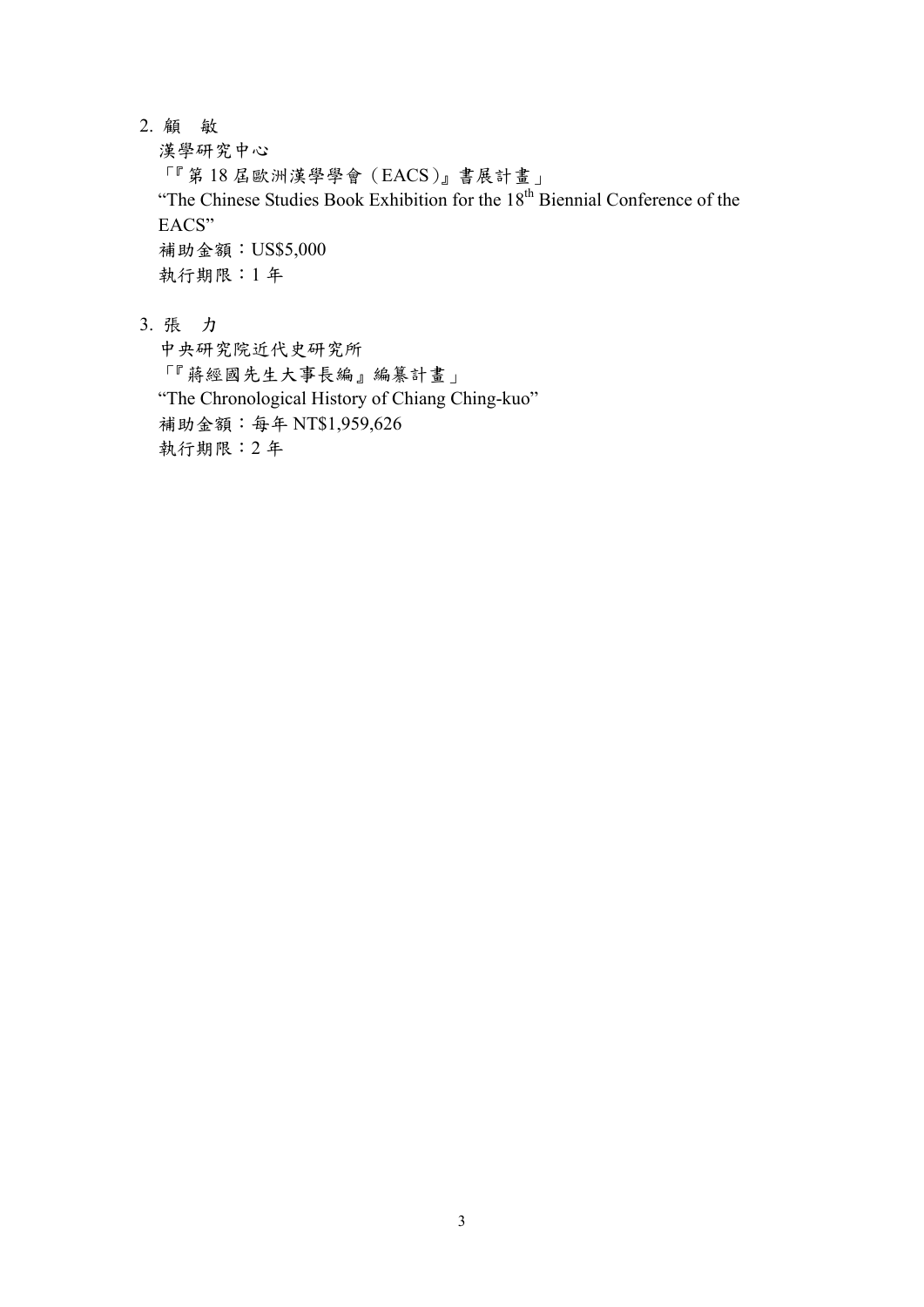2. 顧 敏

漢學研究中心

「『第 18 屆歐洲漢學學會(EACS)』書展計畫」 "The Chinese Studies Book Exhibition for the 18<sup>th</sup> Biennial Conference of the EACS" 補助金額:US\$5,000 執行期限:1 年

3. 張 力

中央研究院近代史研究所 「『蔣經國先生大事長編』編纂計畫」 "The Chronological History of Chiang Ching-kuo" 補助金額:每年 NT\$1,959,626 執行期限:2 年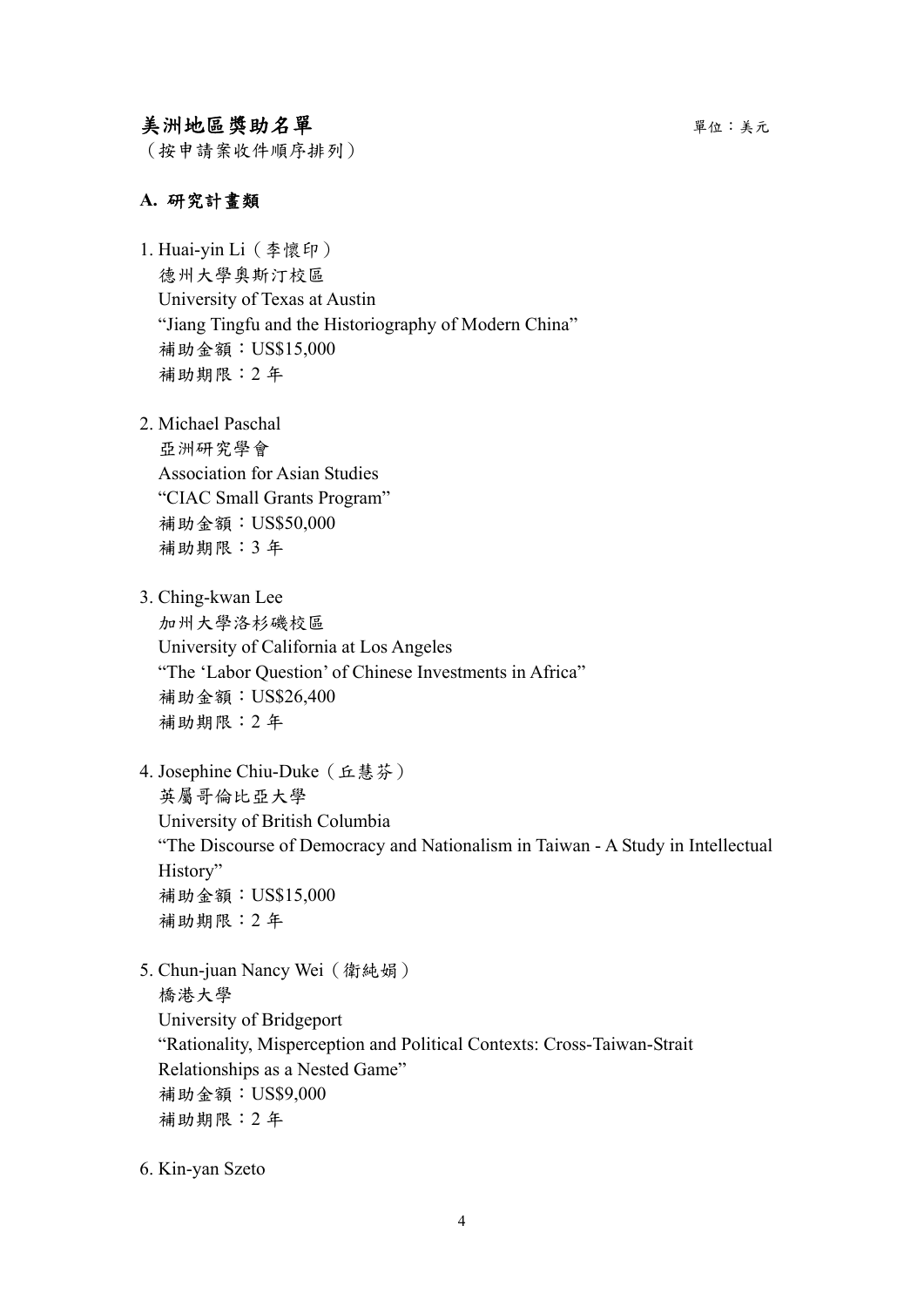## 美洲地區獎助名單單位:美元

(按申請案收件順序排列)

#### **A.** 研究計畫類

1. Huai-yin Li(李懷印) 德州大學奧斯汀校區 University of Texas at Austin "Jiang Tingfu and the Historiography of Modern China" 補助金額:US\$15,000 補助期限:2 年

2. Michael Paschal

亞洲研究學會 Association for Asian Studies "CIAC Small Grants Program" 補助金額:US\$50,000 補助期限:3 年

3. Ching-kwan Lee

加州大學洛杉磯校區 University of California at Los Angeles "The 'Labor Question' of Chinese Investments in Africa" 補助金額:US\$26,400 補助期限:2 年

4. Josephine Chiu-Duke(丘慧芬)

英屬哥倫比亞大學 University of British Columbia "The Discourse of Democracy and Nationalism in Taiwan - A Study in Intellectual History" 補助金額:US\$15,000 補助期限:2 年

- 5. Chun-juan Nancy Wei(衛純娟) 橋港大學 University of Bridgeport "Rationality, Misperception and Political Contexts: Cross-Taiwan-Strait Relationships as a Nested Game" 補助金額:US\$9,000 補助期限:2 年
- 6. Kin-yan Szeto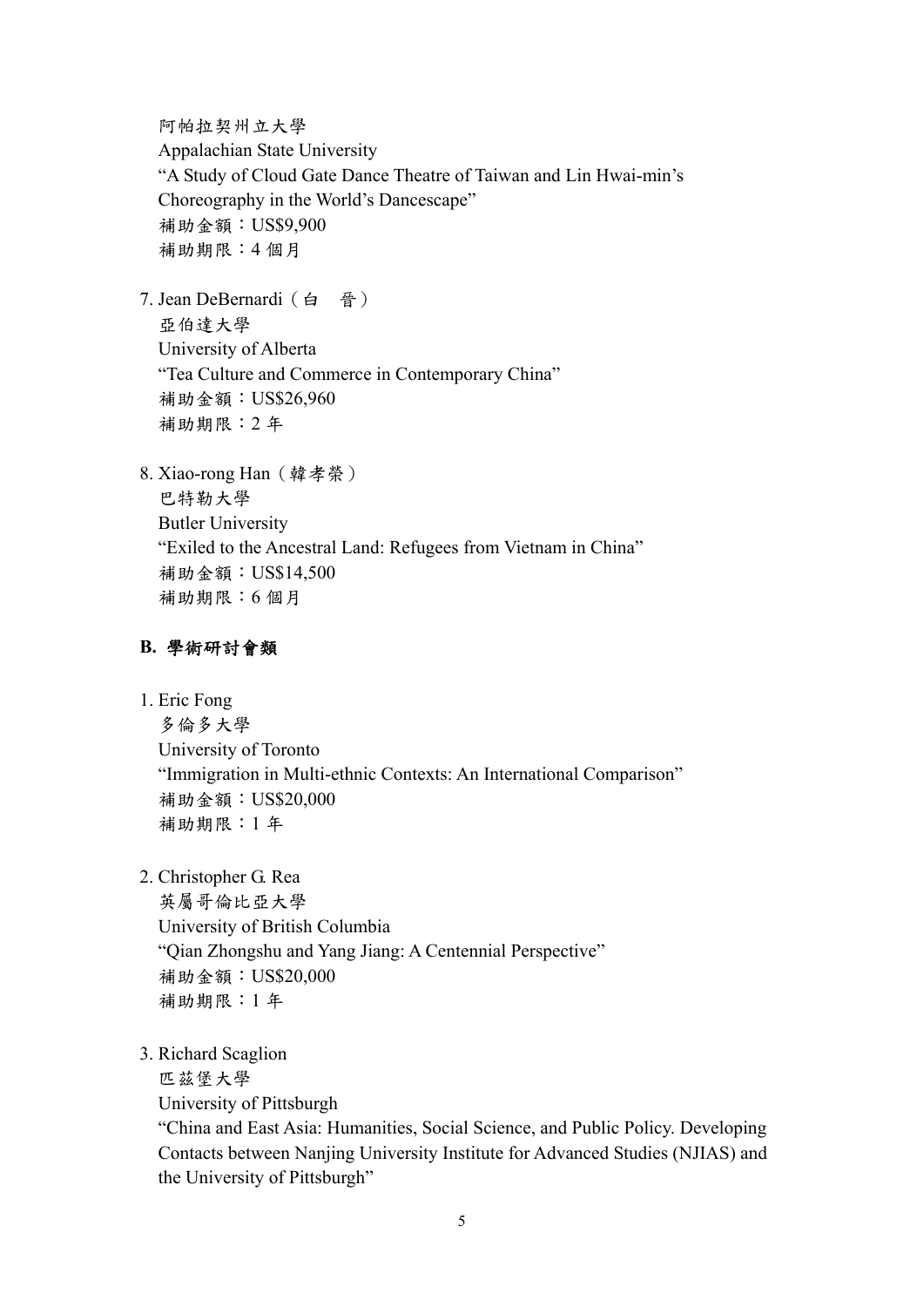阿帕拉契州立大學 Appalachian State University "A Study of Cloud Gate Dance Theatre of Taiwan and Lin Hwai-min's Choreography in the World's Dancescape" 補助金額:US\$9,900 補助期限:4 個月

- 7. Jean DeBernardi(白 晉) 亞伯達大學 University of Alberta "Tea Culture and Commerce in Contemporary China" 補助金額:US\$26,960 補助期限:2 年
- 8. Xiao-rong Han(韓孝榮)

巴特勒大學 Butler University "Exiled to the Ancestral Land: Refugees from Vietnam in China" 補助金額:US\$14,500 補助期限:6 個月

# **B.** 學術研討會類

1. Eric Fong

多倫多大學 University of Toronto "Immigration in Multi-ethnic Contexts: An International Comparison" 補助金額:US\$20,000 補助期限:1 年

2. Christopher G. Rea

英屬哥倫比亞大學 University of British Columbia "Qian Zhongshu and Yang Jiang: A Centennial Perspective" 補助金額:US\$20,000 補助期限:1 年

3. Richard Scaglion 匹茲堡大學

> University of Pittsburgh "China and East Asia: Humanities, Social Science, and Public Policy. Developing Contacts between Nanjing University Institute for Advanced Studies (NJIAS) and the University of Pittsburgh"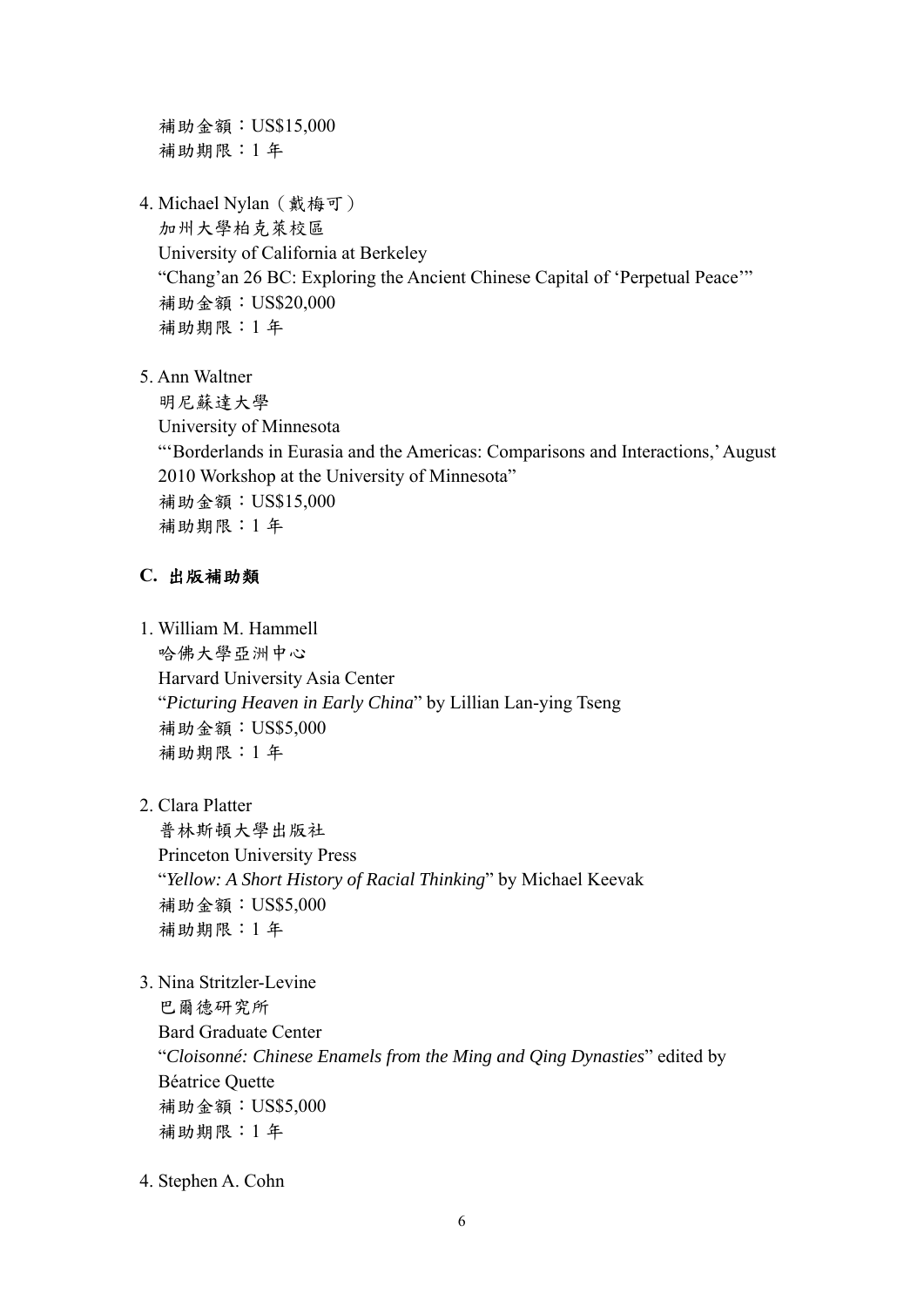補助金額:US\$15,000 補助期限:1 年

4. Michael Nylan (戴梅可)

加州大學柏克萊校區 University of California at Berkeley "Chang'an 26 BC: Exploring the Ancient Chinese Capital of 'Perpetual Peace'" 補助金額:US\$20,000 補助期限:1 年

5. Ann Waltner

明尼蘇達大學

University of Minnesota

"'Borderlands in Eurasia and the Americas: Comparisons and Interactions,' August 2010 Workshop at the University of Minnesota" 補助金額:US\$15,000 補助期限:1 年

# **C.** 出版補助類

1. William M. Hammell

哈佛大學亞洲中心 Harvard University Asia Center "*Picturing Heaven in Early China*" by Lillian Lan-ying Tseng 補助金額:US\$5,000 補助期限:1 年

2. Clara Platter

普林斯頓大學出版社 Princeton University Press "*Yellow: A Short History of Racial Thinking*" by Michael Keevak 補助金額:US\$5,000 補助期限:1 年

3. Nina Stritzler-Levine

巴爾德研究所 Bard Graduate Center "*Cloisonné: Chinese Enamels from the Ming and Qing Dynasties*" edited by Béatrice Quette 補助金額:US\$5,000 補助期限:1 年

4. Stephen A. Cohn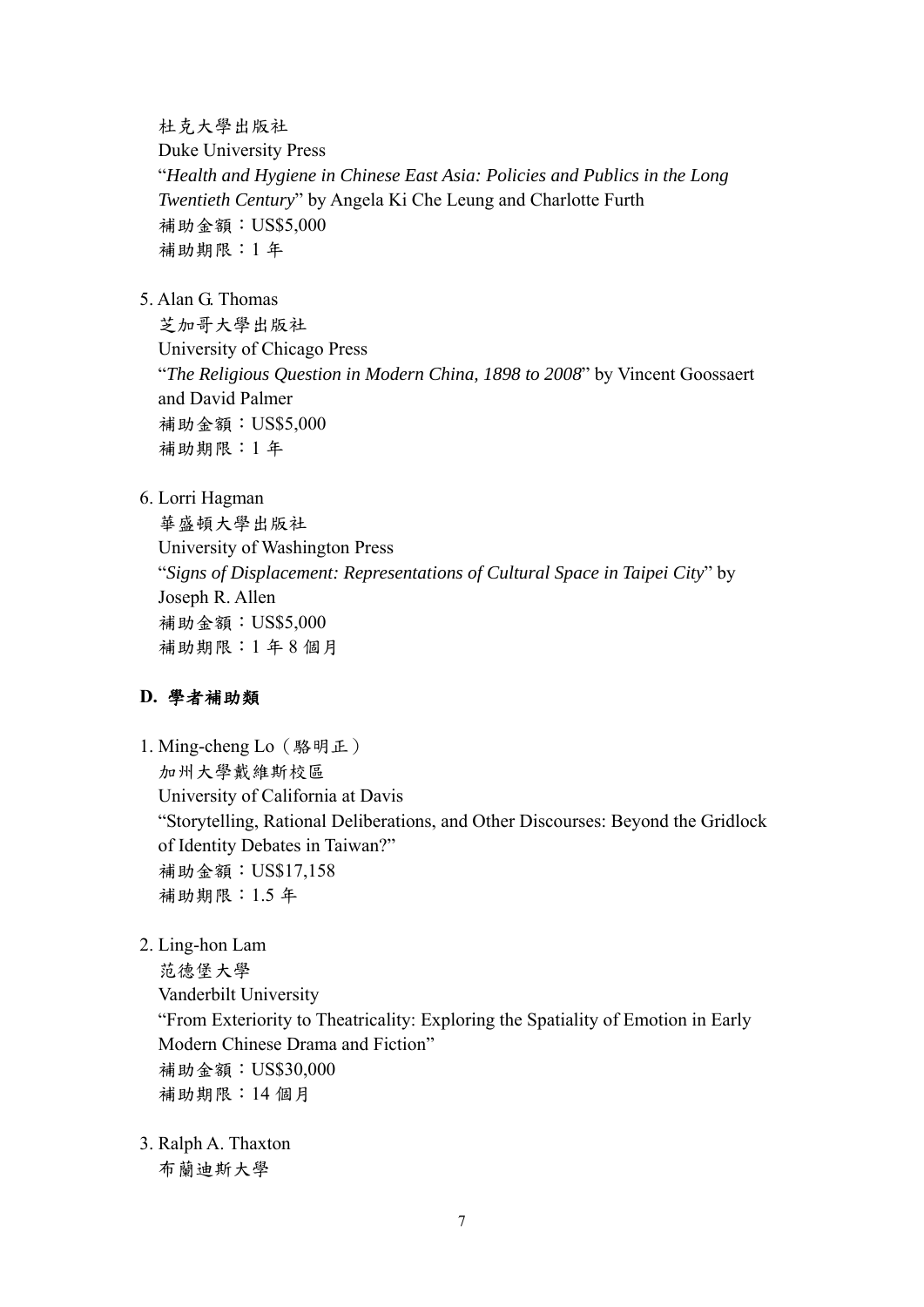杜克大學出版社

Duke University Press "*Health and Hygiene in Chinese East Asia: Policies and Publics in the Long Twentieth Century*" by Angela Ki Che Leung and Charlotte Furth 補助金額:US\$5,000 補助期限:1 年

5. Alan G. Thomas

芝加哥大學出版社 University of Chicago Press "*The Religious Question in Modern China, 1898 to 2008*" by Vincent Goossaert and David Palmer 補助金額:US\$5,000 補助期限:1 年

6. Lorri Hagman

華盛頓大學出版社 University of Washington Press "*Signs of Displacement: Representations of Cultural Space in Taipei City*" by Joseph R. Allen 補助金額:US\$5,000 補助期限:1 年 8 個月

## **D.** 學者補助類

1. Ming-cheng Lo(駱明正) 加州大學戴維斯校區 University of California at Davis "Storytelling, Rational Deliberations, and Other Discourses: Beyond the Gridlock of Identity Debates in Taiwan?" 補助金額:US\$17,158 補助期限:1.5 年

2. Ling-hon Lam

范德堡大學 Vanderbilt University "From Exteriority to Theatricality: Exploring the Spatiality of Emotion in Early Modern Chinese Drama and Fiction" 補助金額:US\$30,000 補助期限:14 個月

3. Ralph A. Thaxton 布蘭迪斯大學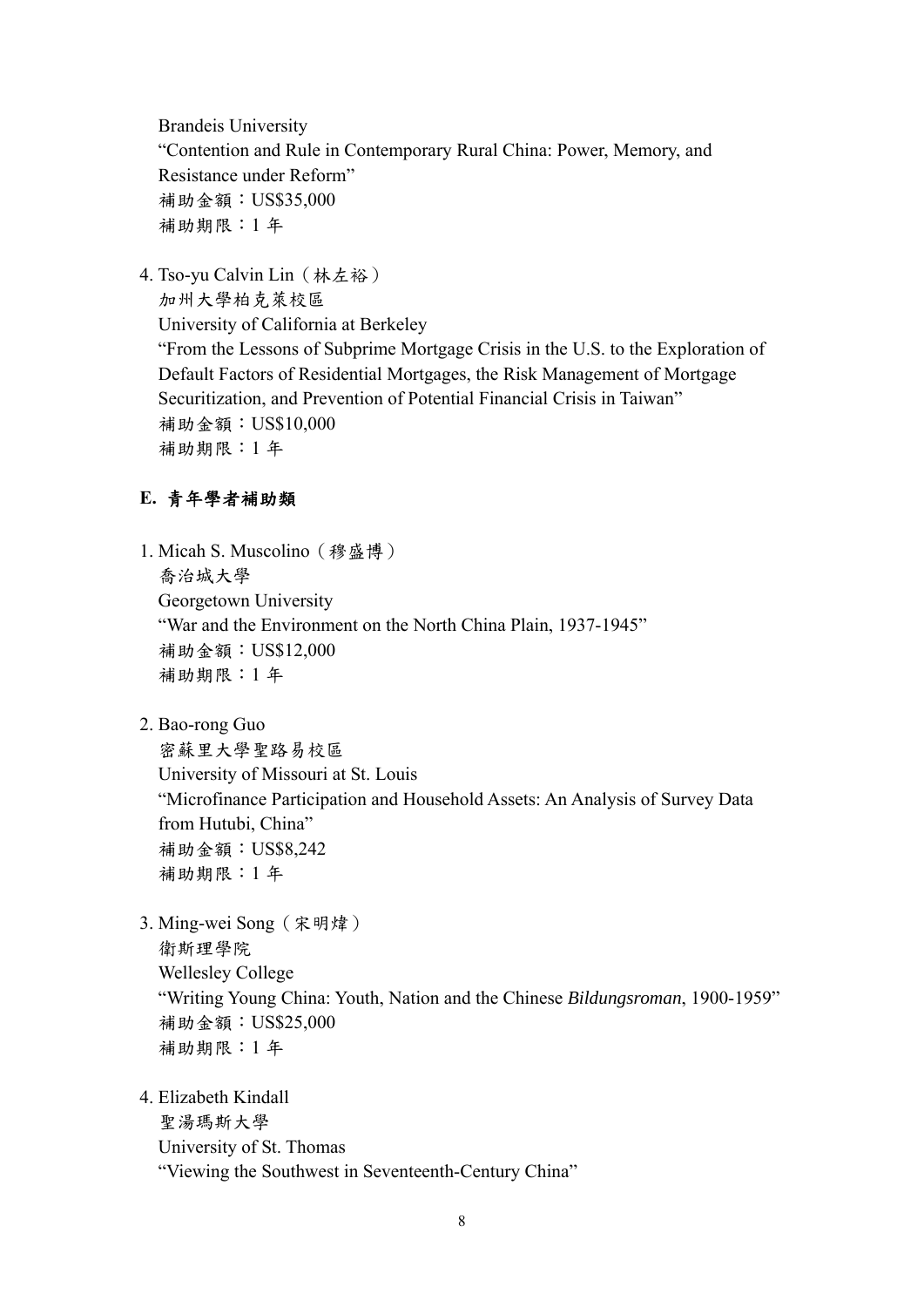Brandeis University "Contention and Rule in Contemporary Rural China: Power, Memory, and Resistance under Reform" 補助金額:US\$35,000 補助期限:1 年

4. Tso-yu Calvin Lin(林左裕)

加州大學柏克萊校區 University of California at Berkeley "From the Lessons of Subprime Mortgage Crisis in the U.S. to the Exploration of Default Factors of Residential Mortgages, the Risk Management of Mortgage Securitization, and Prevention of Potential Financial Crisis in Taiwan" 補助金額:US\$10,000 補助期限:1 年

## **E.** 青年學者補助類

- 1. Micah S. Muscolino(穆盛博) 喬治城大學 Georgetown University "War and the Environment on the North China Plain, 1937-1945" 補助金額:US\$12,000 補助期限:1 年
- 2. Bao-rong Guo

密蘇里大學聖路易校區 University of Missouri at St. Louis "Microfinance Participation and Household Assets: An Analysis of Survey Data from Hutubi, China" 補助金額:US\$8,242 補助期限:1 年

- 3. Ming-wei Song(宋明煒) 衛斯理學院 Wellesley College "Writing Young China: Youth, Nation and the Chinese *Bildungsroman*, 1900-1959" 補助金額:US\$25,000 補助期限:1 年
- 4. Elizabeth Kindall 聖湯瑪斯大學

University of St. Thomas "Viewing the Southwest in Seventeenth-Century China"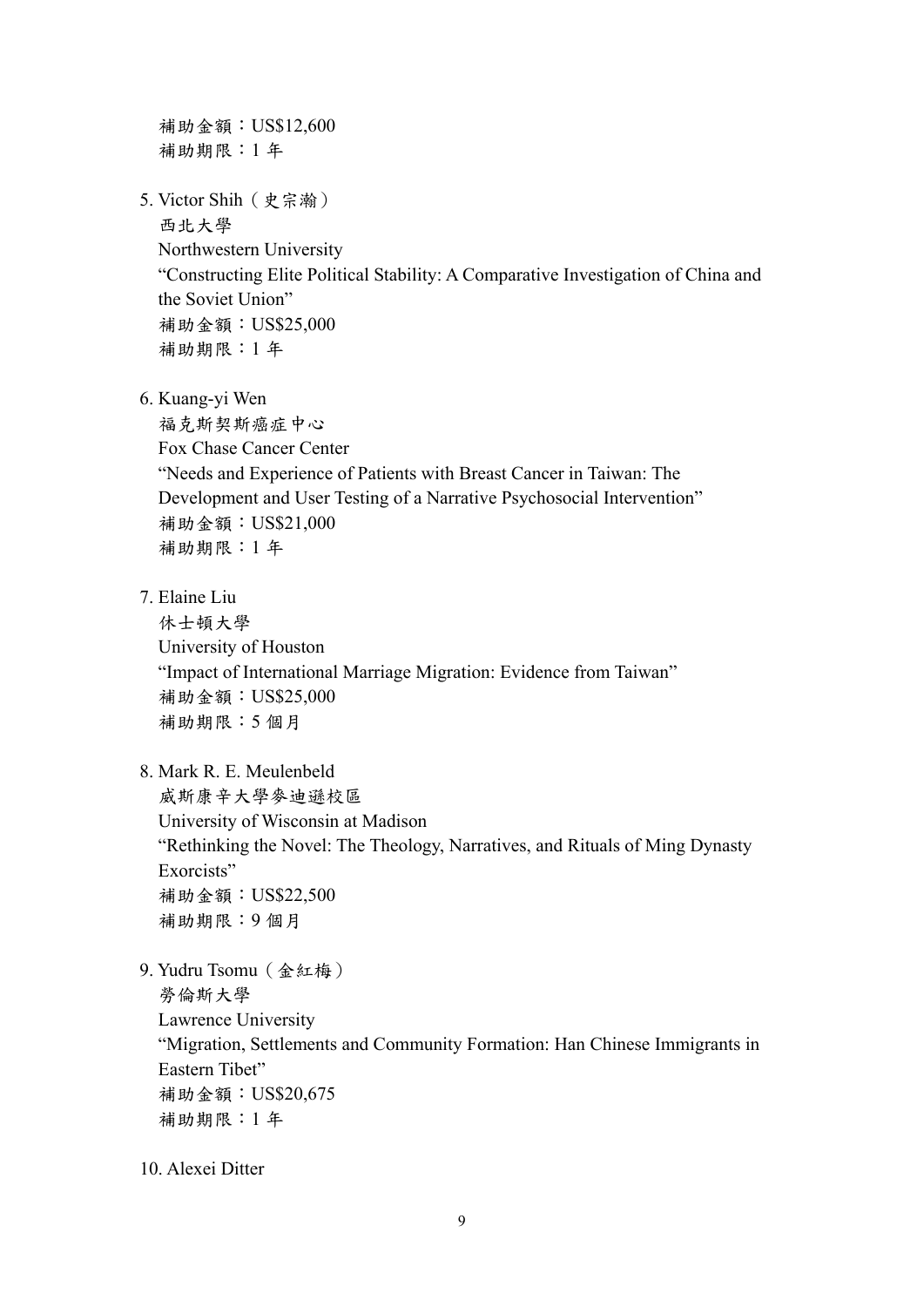補助金額:US\$12,600 補助期限:1 年 5. Victor Shih(史宗瀚) 西北大學 Northwestern University "Constructing Elite Political Stability: A Comparative Investigation of China and the Soviet Union" 補助金額:US\$25,000 補助期限:1 年 6. Kuang-yi Wen 福克斯契斯癌症中心 Fox Chase Cancer Center "Needs and Experience of Patients with Breast Cancer in Taiwan: The Development and User Testing of a Narrative Psychosocial Intervention" 補助金額:US\$21,000 補助期限:1 年 7. Elaine Liu 休士頓大學 University of Houston "Impact of International Marriage Migration: Evidence from Taiwan" 補助金額:US\$25,000 補助期限:5 個月 8. Mark R. E. Meulenbeld 威斯康辛大學麥迪遜校區 University of Wisconsin at Madison "Rethinking the Novel: The Theology, Narratives, and Rituals of Ming Dynasty Exorcists" 補助金額:US\$22,500 補助期限:9 個月 9. Yudru Tsomu(金紅梅)

勞倫斯大學 Lawrence University "Migration, Settlements and Community Formation: Han Chinese Immigrants in Eastern Tibet" 補助金額:US\$20,675 補助期限:1 年

10. Alexei Ditter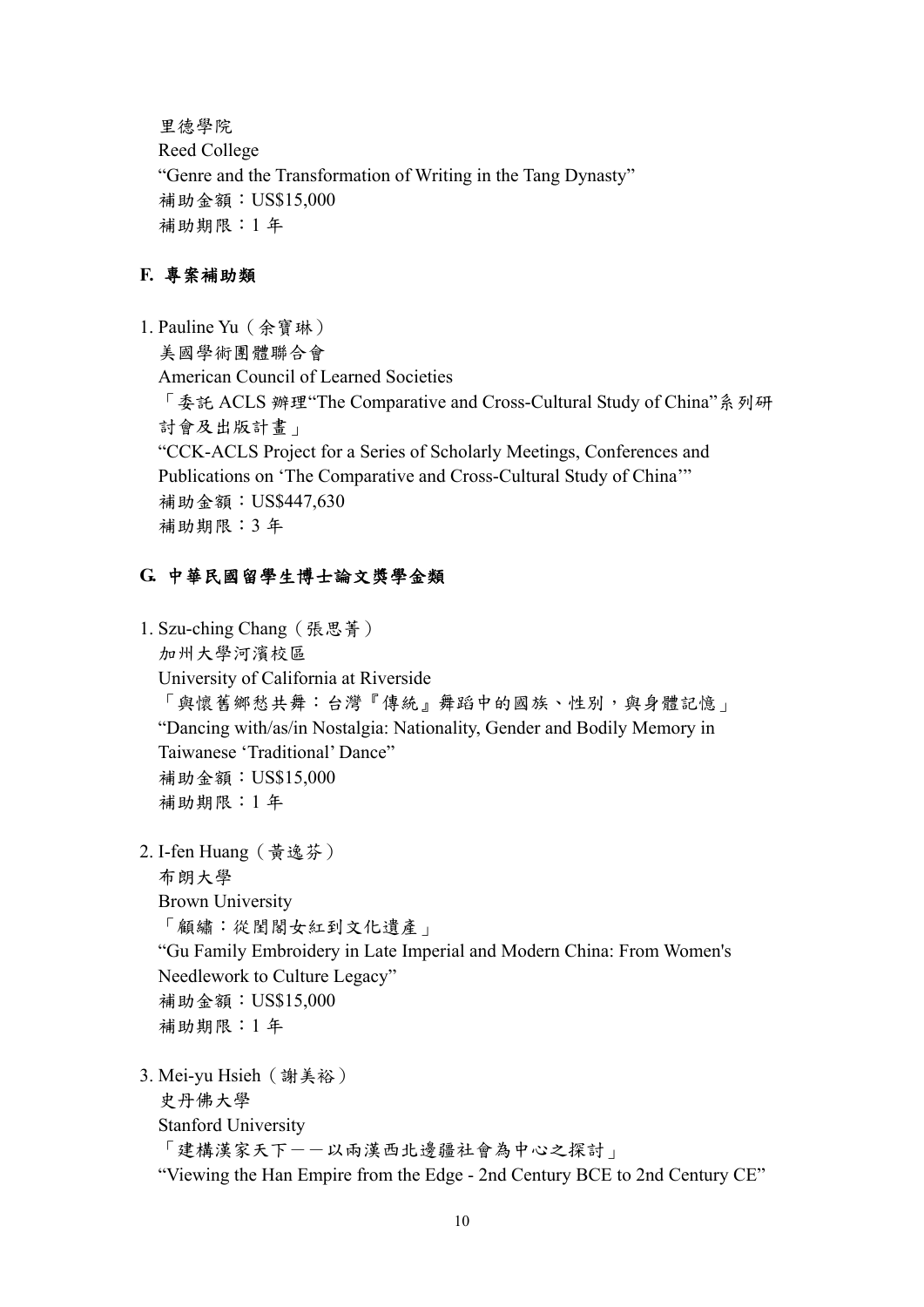里德學院 Reed College "Genre and the Transformation of Writing in the Tang Dynasty" 補助金額:US\$15,000 補助期限:1 年

## **F.** 專案補助類

1. Pauline Yu(余寶琳) 美國學術團體聯合會 American Council of Learned Societies 「委託 ACLS 辦理"The Comparative and Cross-Cultural Study of China"系列研 討會及出版計畫」 "CCK-ACLS Project for a Series of Scholarly Meetings, Conferences and Publications on 'The Comparative and Cross-Cultural Study of China'" 補助金額:US\$447,630 補助期限:3 年

#### **G.** 中華民國留學生博士論文獎學金類

```
1. Szu-ching Chang(張思菁)
  加州大學河濱校區
 University of California at Riverside 
  「與懷舊鄉愁共舞:台灣『傳統』舞蹈中的國族、性別,與身體記憶」
 "Dancing with/as/in Nostalgia: Nationality, Gender and Bodily Memory in 
 Taiwanese 'Traditional' Dance" 
 補助金額:US$15,000 
 補助期限:1 年
2. I-fen Huang(黃逸芬)
 布朗大學
 Brown University 
  「顧繡:從閨閣女紅到文化遺產」
 "Gu Family Embroidery in Late Imperial and Modern China: From Women's 
 Needlework to Culture Legacy" 
 補助金額:US$15,000 
 補助期限:1 年
```
3. Mei-yu Hsieh(謝美裕)

```
史丹佛大學
```
Stanford University

```
「建構漢家天下--以兩漢西北邊疆社會為中心之探討」
```
"Viewing the Han Empire from the Edge - 2nd Century BCE to 2nd Century CE"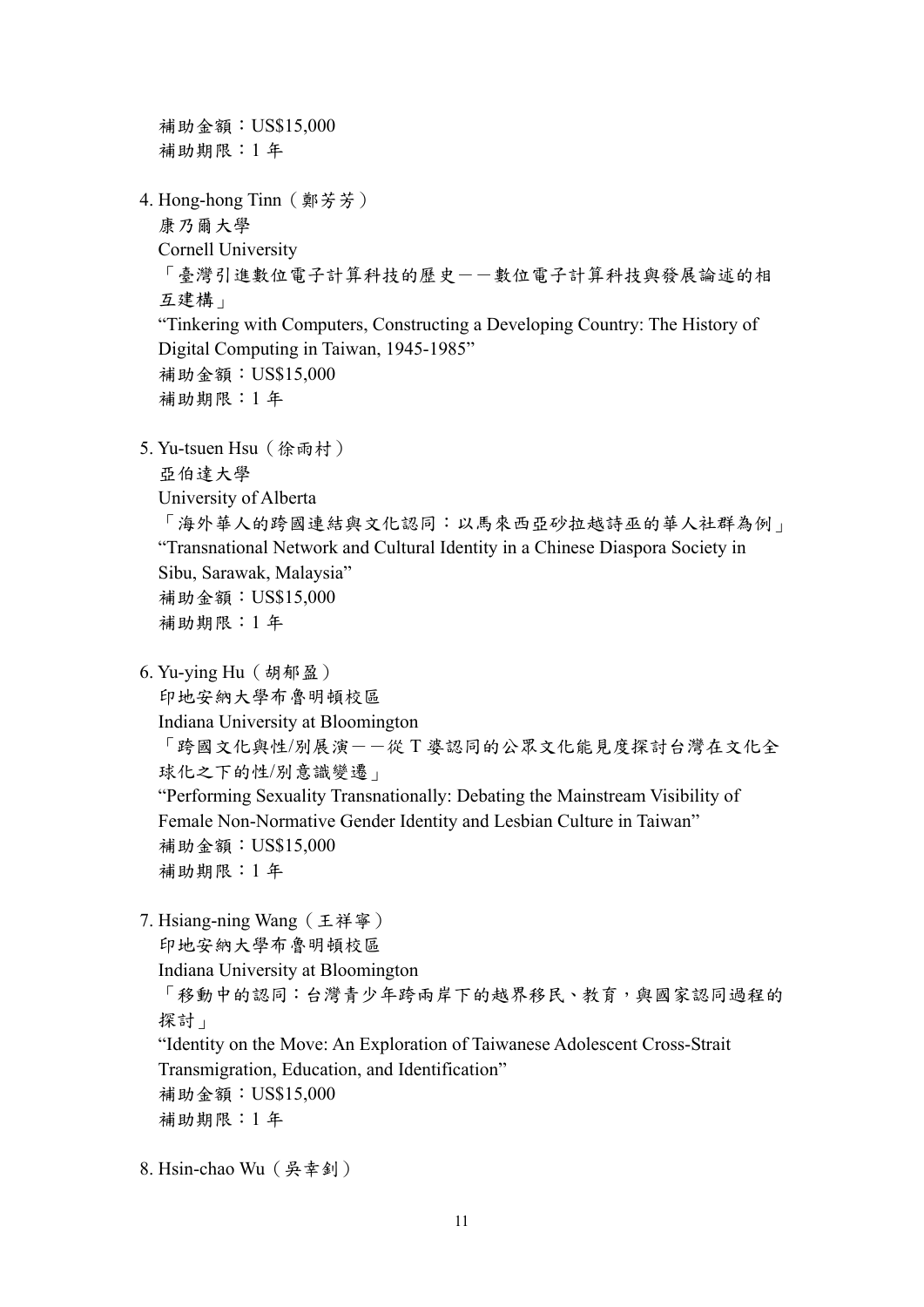補助金額:US\$15,000 補助期限:1 年 4. Hong-hong Tinn(鄭芳芳) 康乃爾大學 Cornell University 「臺灣引進數位電子計算科技的歷史--數位電子計算科技與發展論述的相 互建構」 "Tinkering with Computers, Constructing a Developing Country: The History of Digital Computing in Taiwan, 1945-1985" 補助金額:US\$15,000 補助期限:1 年 5. Yu-tsuen Hsu(徐雨村) 亞伯達大學 University of Alberta 「海外華人的跨國連結與文化認同:以馬來西亞砂拉越詩巫的華人社群為例」 "Transnational Network and Cultural Identity in a Chinese Diaspora Society in Sibu, Sarawak, Malaysia" 補助金額:US\$15,000 補助期限:1 年 6. Yu-ying Hu(胡郁盈) 印地安納大學布魯明頓校區 Indiana University at Bloomington 「跨國文化與性/別展演--從 T 婆認同的公眾文化能見度探討台灣在文化全 球化之下的性/別意識變遷」 "Performing Sexuality Transnationally: Debating the Mainstream Visibility of Female Non-Normative Gender Identity and Lesbian Culture in Taiwan" 補助金額:US\$15,000 補助期限:1 年 7. Hsiang-ning Wang(王祥寧) 印地安納大學布魯明頓校區 Indiana University at Bloomington 「移動中的認同:台灣青少年跨兩岸下的越界移民、教育,與國家認同過程的 探討」 "Identity on the Move: An Exploration of Taiwanese Adolescent Cross-Strait Transmigration, Education, and Identification" 補助金額:US\$15,000 補助期限:1 年

8. Hsin-chao Wu(吳幸釗)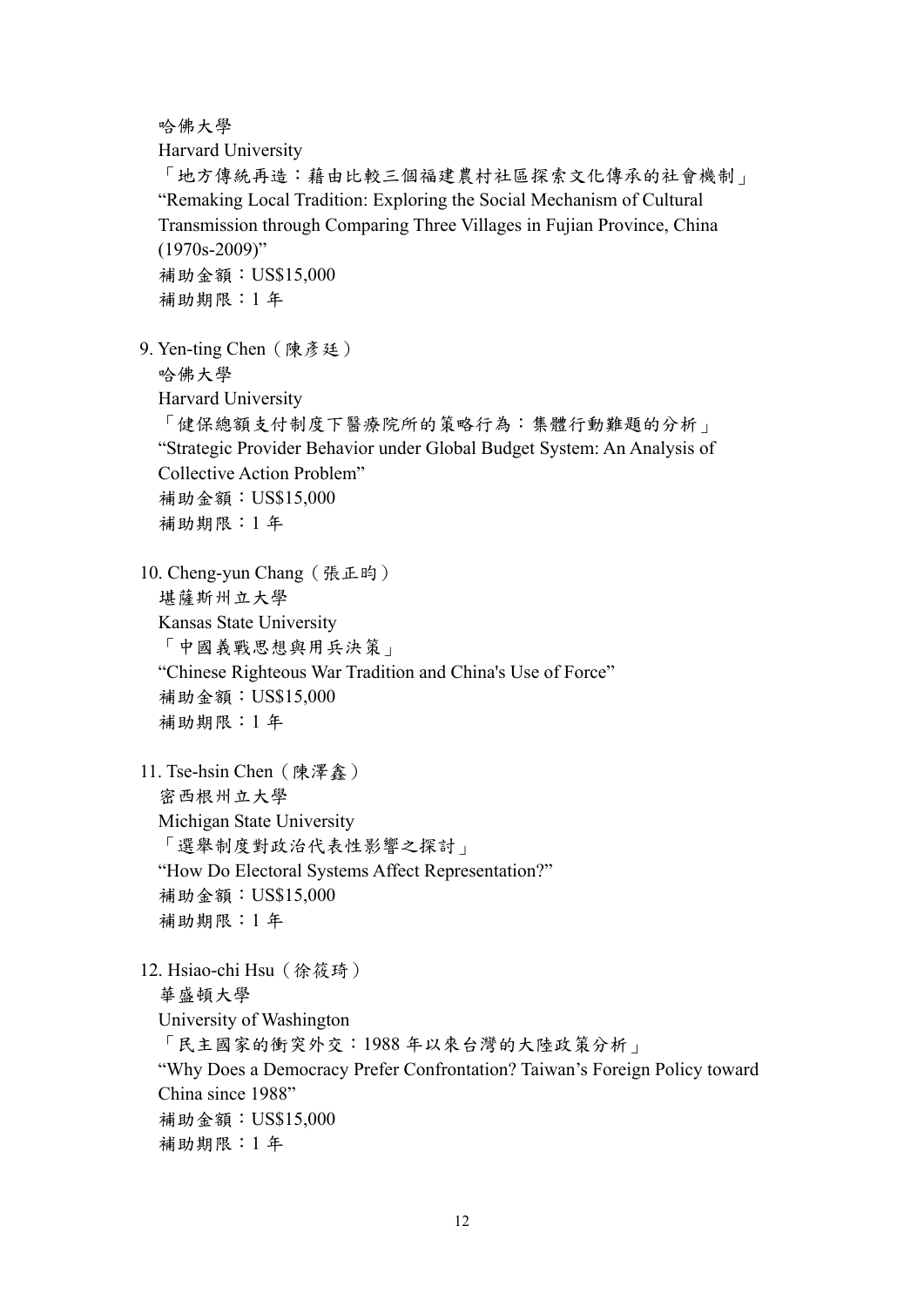哈佛大學

Harvard University

「地方傳統再造:藉由比較三個福建農村社區探索文化傳承的社會機制」 "Remaking Local Tradition: Exploring the Social Mechanism of Cultural Transmission through Comparing Three Villages in Fujian Province, China (1970s-2009)" 補助金額:US\$15,000 補助期限:1 年

9. Yen-ting Chen (陳彥廷) 哈佛大學

Harvard University

「健保總額支付制度下醫療院所的策略行為:集體行動難題的分析」 "Strategic Provider Behavior under Global Budget System: An Analysis of Collective Action Problem" 補助金額:US\$15,000 補助期限:1 年

10. Cheng-yun Chang(張正昀) 堪薩斯州立大學 Kansas State University 「中國義戰思想與用兵決策」 "Chinese Righteous War Tradition and China's Use of Force" 補助金額:US\$15,000 補助期限:1 年

11. Tse-hsin Chen (陳澤鑫) 密西根州立大學 Michigan State University 「選舉制度對政治代表性影響之探討」 "How Do Electoral Systems Affect Representation?" 補助金額:US\$15,000 補助期限:1 年

12. Hsiao-chi Hsu(徐筱琦) 華盛頓大學 University of Washington 「民主國家的衝突外交:1988 年以來台灣的大陸政策分析」 "Why Does a Democracy Prefer Confrontation? Taiwan's Foreign Policy toward China since 1988" 補助金額:US\$15,000 補助期限:1 年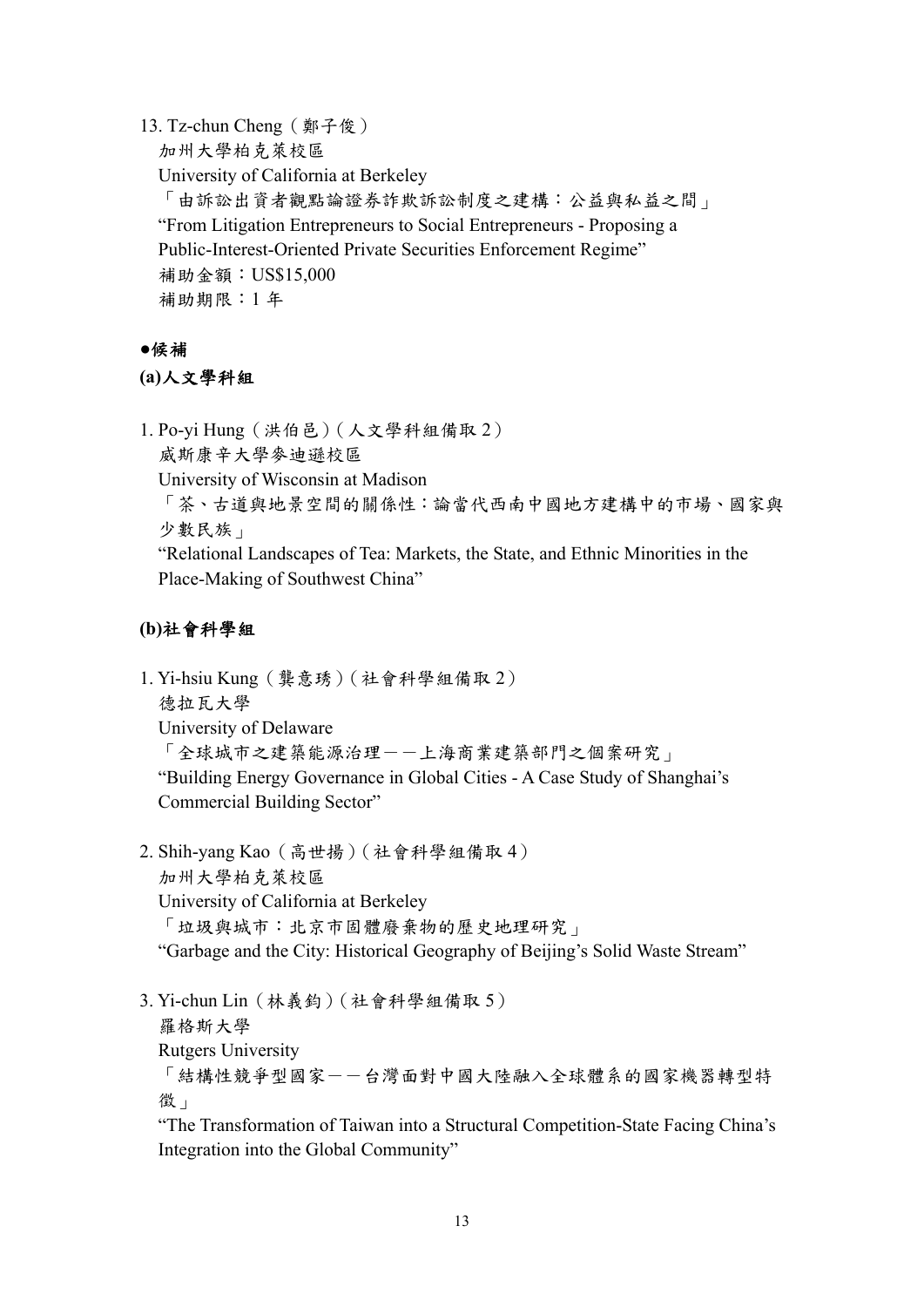13. Tz-chun Cheng(鄭子俊) 加州大學柏克萊校區 University of California at Berkeley 「由訴訟出資者觀點論證券詐欺訴訟制度之建構:公益與私益之間」 "From Litigation Entrepreneurs to Social Entrepreneurs - Proposing a Public-Interest-Oriented Private Securities Enforcement Regime" 補助金額:US\$15,000 補助期限:1 年

#### **●**候補

#### **(a)**人文學科組

1. Po-yi Hung(洪伯邑)(人文學科組備取 2)

威斯康辛大學麥迪遜校區

University of Wisconsin at Madison

「茶、古道與地景空間的關係性:論當代西南中國地方建構中的市場、國家與 少數民族」

"Relational Landscapes of Tea: Markets, the State, and Ethnic Minorities in the Place-Making of Southwest China"

# **(b)**社會科學組

- 1. Yi-hsiu Kung(龔意琇)(社會科學組備取 2) 德拉瓦大學 University of Delaware 「全球城市之建築能源治理--上海商業建築部門之個案研究」 "Building Energy Governance in Global Cities - A Case Study of Shanghai's Commercial Building Sector"
- 2. Shih-yang Kao(高世揚)(社會科學組備取 4) 加州大學柏克萊校區 University of California at Berkeley 「垃圾與城市:北京市固體廢棄物的歷史地理研究」 "Garbage and the City: Historical Geography of Beijing's Solid Waste Stream"
- 3. Yi-chun Lin(林義鈞)(社會科學組備取 5) 羅格斯大學 Rutgers University 「結構性競爭型國家--台灣面對中國大陸融入全球體系的國家機器轉型特 徵」

"The Transformation of Taiwan into a Structural Competition-State Facing China's Integration into the Global Community"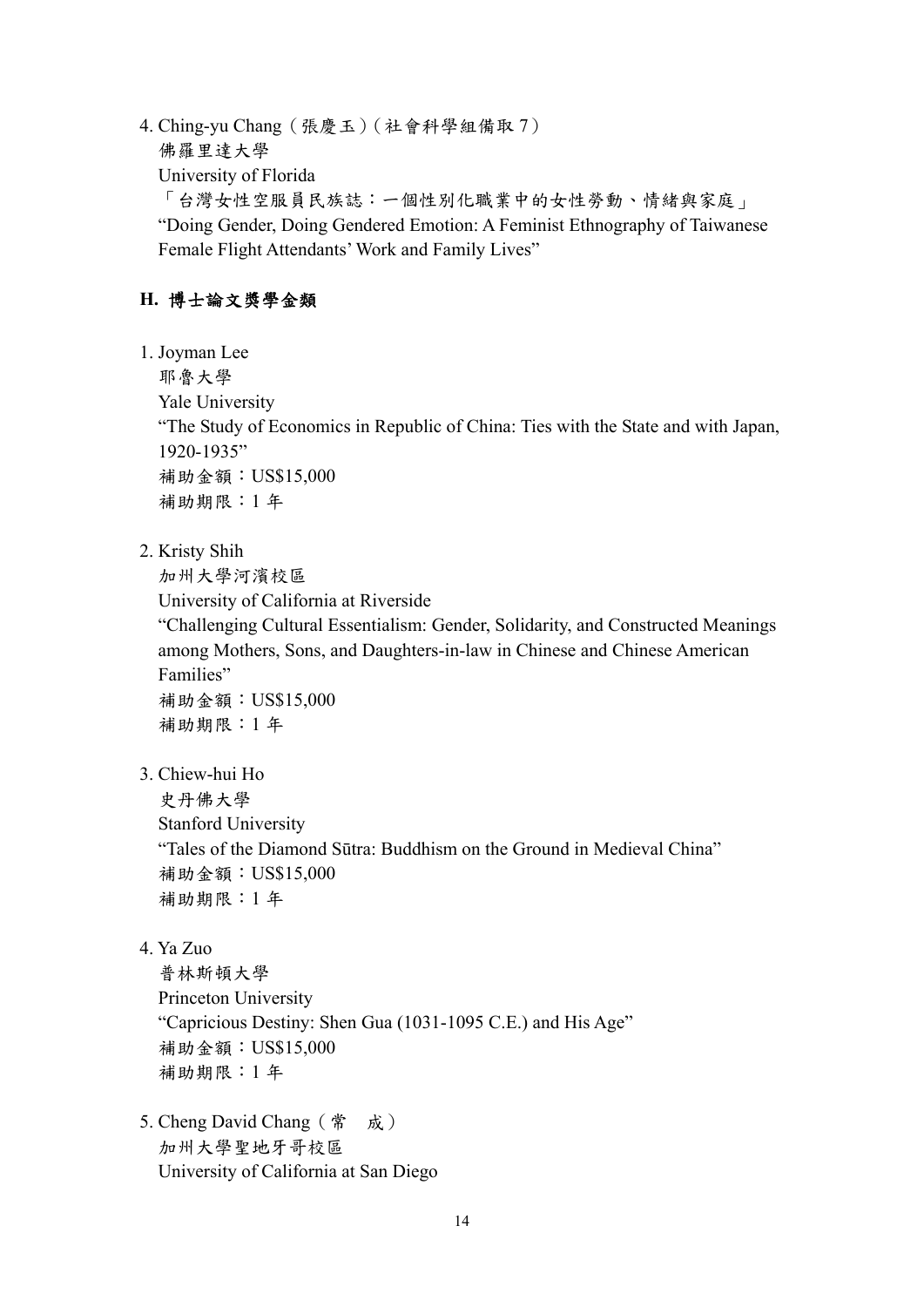4. Ching-yu Chang(張慶玉)(社會科學組備取 7) 佛羅里達大學 University of Florida 「台灣女性空服員民族誌:一個性別化職業中的女性勞動、情緒與家庭」 "Doing Gender, Doing Gendered Emotion: A Feminist Ethnography of Taiwanese Female Flight Attendants' Work and Family Lives"

# **H.** 博士論文獎學金類

1. Joyman Lee

耶魯大學

Yale University

"The Study of Economics in Republic of China: Ties with the State and with Japan, 1920-1935" 補助金額:US\$15,000

補助期限:1 年

2. Kristy Shih

加州大學河濱校區

University of California at Riverside

"Challenging Cultural Essentialism: Gender, Solidarity, and Constructed Meanings among Mothers, Sons, and Daughters-in-law in Chinese and Chinese American Families"

補助金額:US\$15,000 補助期限:1 年

3. Chiew-hui Ho

史丹佛大學

Stanford University

"Tales of the Diamond Sūtra: Buddhism on the Ground in Medieval China" 補助金額:US\$15,000 補助期限:1 年

4. Ya Zuo

普林斯頓大學 Princeton University "Capricious Destiny: Shen Gua (1031-1095 C.E.) and His Age" 補助金額:US\$15,000 補助期限:1 年

5. Cheng David Chang(常 成) 加州大學聖地牙哥校區 University of California at San Diego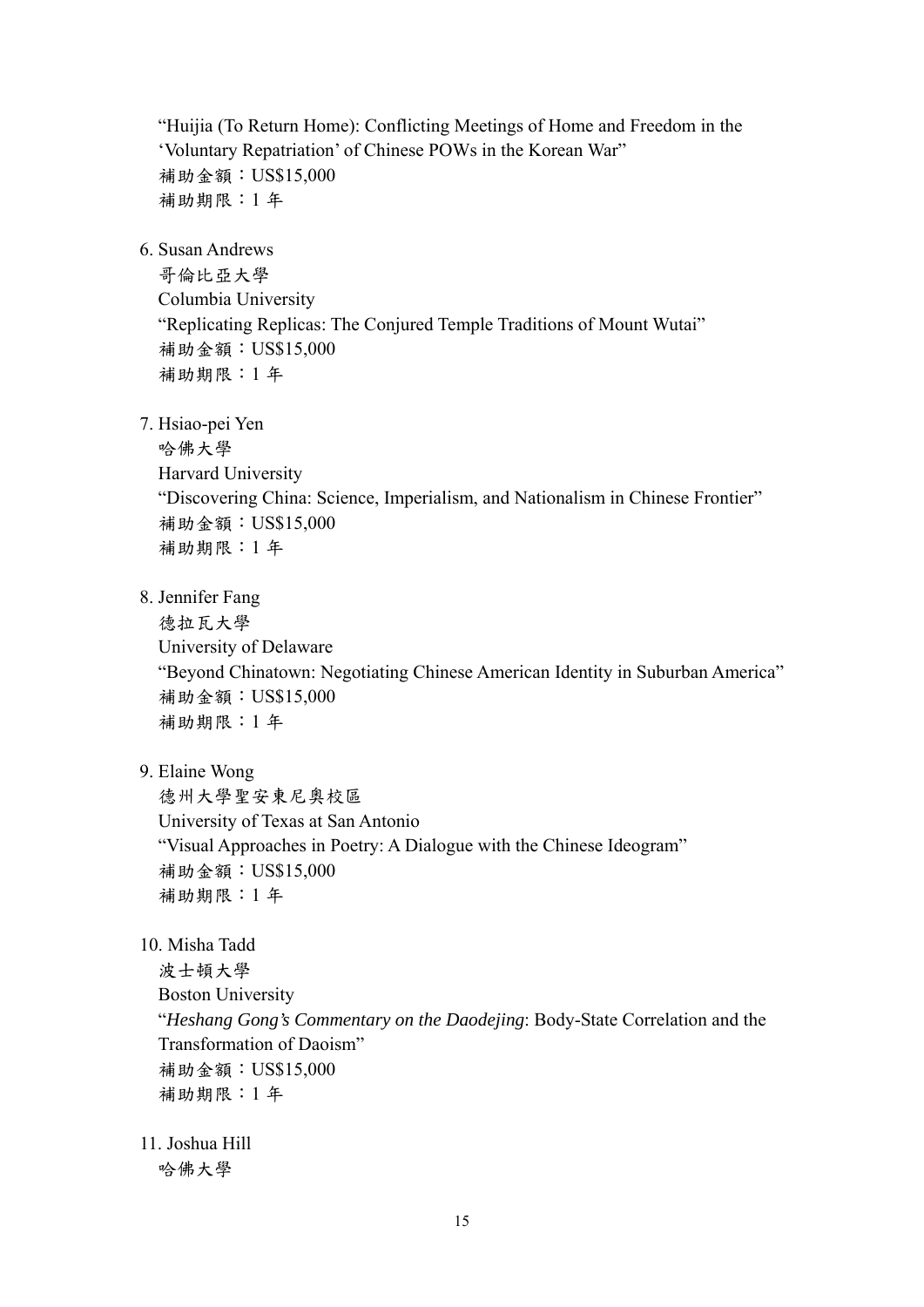"Huijia (To Return Home): Conflicting Meetings of Home and Freedom in the 'Voluntary Repatriation' of Chinese POWs in the Korean War" 補助金額:US\$15,000 補助期限:1 年

6. Susan Andrews

哥倫比亞大學 Columbia University "Replicating Replicas: The Conjured Temple Traditions of Mount Wutai" 補助金額:US\$15,000 補助期限:1 年

7. Hsiao-pei Yen

哈佛大學 Harvard University "Discovering China: Science, Imperialism, and Nationalism in Chinese Frontier" 補助金額:US\$15,000 補助期限:1 年

8. Jennifer Fang

德拉瓦大學 University of Delaware "Beyond Chinatown: Negotiating Chinese American Identity in Suburban America" 補助金額:US\$15,000 補助期限:1 年

9. Elaine Wong

德州大學聖安東尼奧校區 University of Texas at San Antonio "Visual Approaches in Poetry: A Dialogue with the Chinese Ideogram" 補助金額:US\$15,000 補助期限:1 年

10. Misha Tadd

波士頓大學 Boston University "*Heshang Gong's Commentary on the Daodejing*: Body-State Correlation and the Transformation of Daoism" 補助金額:US\$15,000 補助期限:1 年

11. Joshua Hill 哈佛大學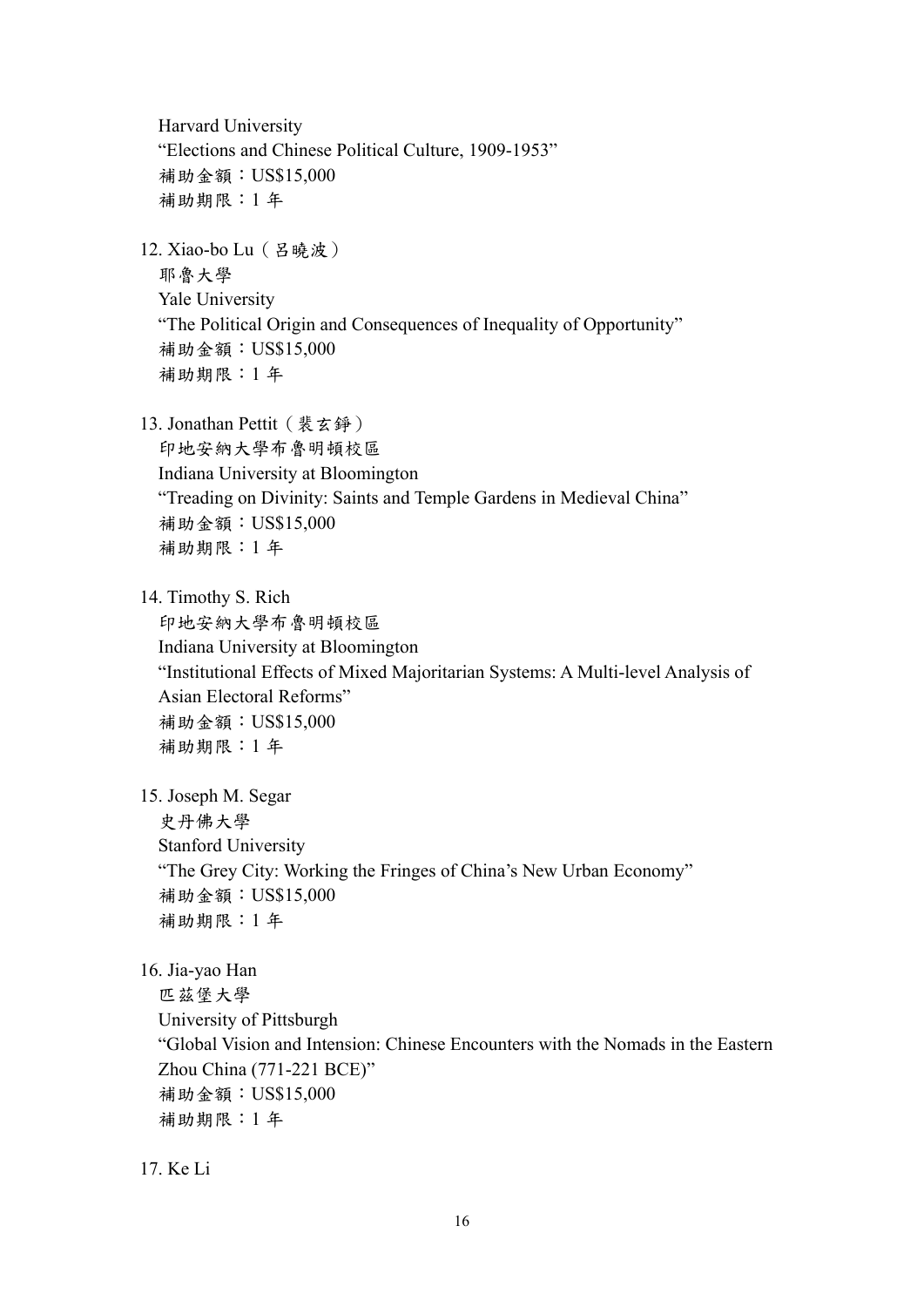Harvard University "Elections and Chinese Political Culture, 1909-1953" 補助金額:US\$15,000 補助期限:1 年 12. Xiao-bo Lu(呂曉波) 耶魯大學 Yale University "The Political Origin and Consequences of Inequality of Opportunity" 補助金額:US\$15,000 補助期限:1 年 13. Jonathan Pettit (裴玄錚) 印地安納大學布魯明頓校區 Indiana University at Bloomington "Treading on Divinity: Saints and Temple Gardens in Medieval China" 補助金額:US\$15,000 補助期限:1 年 14. Timothy S. Rich 印地安納大學布魯明頓校區 Indiana University at Bloomington "Institutional Effects of Mixed Majoritarian Systems: A Multi-level Analysis of Asian Electoral Reforms" 補助金額:US\$15,000 補助期限:1 年 15. Joseph M. Segar 史丹佛大學 Stanford University "The Grey City: Working the Fringes of China's New Urban Economy" 補助金額:US\$15,000 補助期限:1 年 16. Jia-yao Han 匹茲堡大學 University of Pittsburgh "Global Vision and Intension: Chinese Encounters with the Nomads in the Eastern Zhou China (771-221 BCE)" 補助金額:US\$15,000 補助期限:1 年

17. Ke Li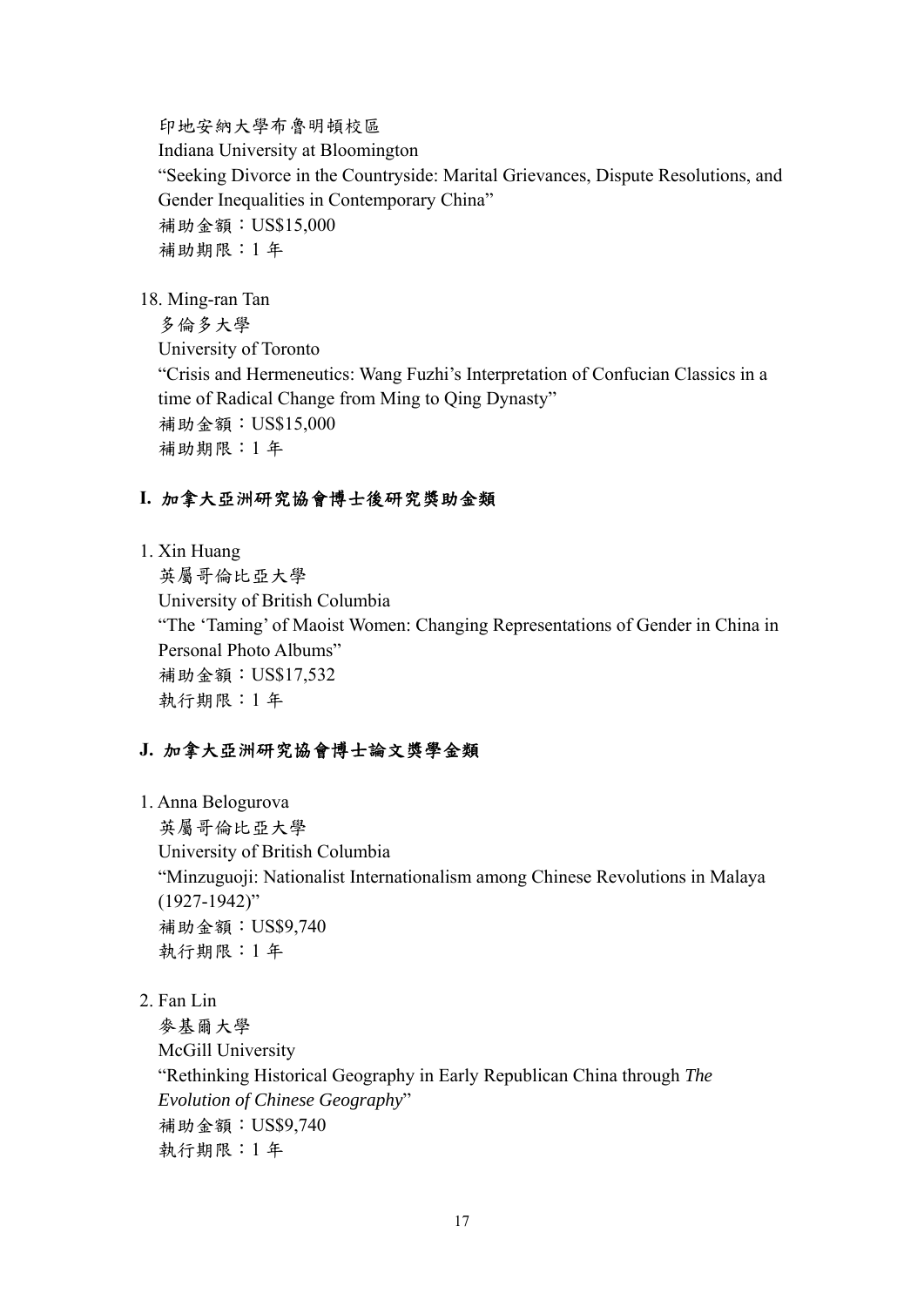印地安納大學布魯明頓校區 Indiana University at Bloomington "Seeking Divorce in the Countryside: Marital Grievances, Dispute Resolutions, and Gender Inequalities in Contemporary China" 補助金額:US\$15,000 補助期限:1 年

18. Ming-ran Tan

多倫多大學 University of Toronto "Crisis and Hermeneutics: Wang Fuzhi's Interpretation of Confucian Classics in a time of Radical Change from Ming to Qing Dynasty" 補助金額:US\$15,000 補助期限:1 年

# **I.** 加拿大亞洲研究協會博士後研究獎助金類

1. Xin Huang

英屬哥倫比亞大學 University of British Columbia "The 'Taming' of Maoist Women: Changing Representations of Gender in China in Personal Photo Albums" 補助金額:US\$17,532 執行期限:1 年

# **J.** 加拿大亞洲研究協會博士論文獎學金類

1. Anna Belogurova

英屬哥倫比亞大學 University of British Columbia "Minzuguoji: Nationalist Internationalism among Chinese Revolutions in Malaya (1927-1942)" 補助金額:US\$9,740 執行期限:1 年

2. Fan Lin

麥基爾大學 McGill University "Rethinking Historical Geography in Early Republican China through *The Evolution of Chinese Geography*" 補助金額:US\$9,740 執行期限:1 年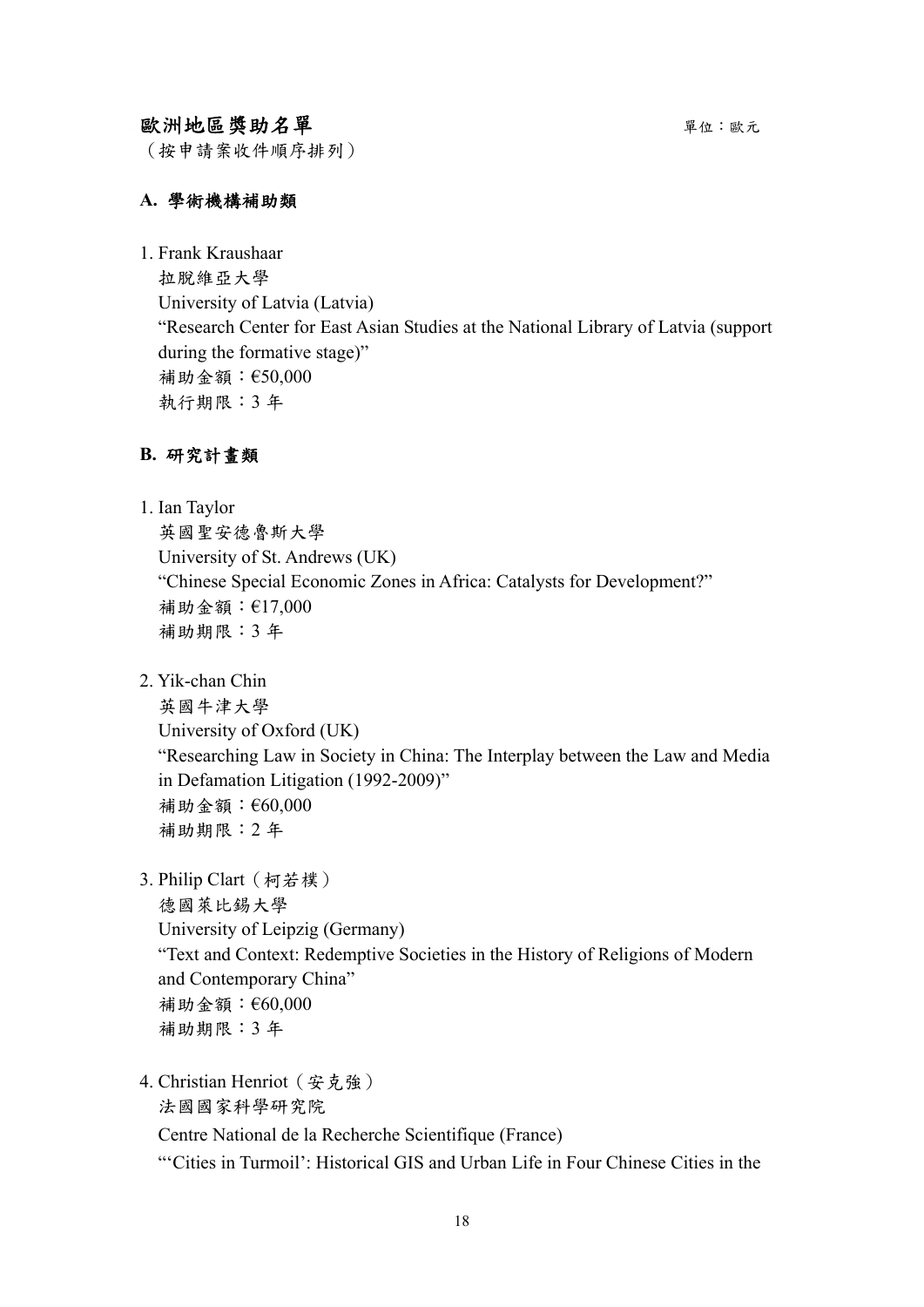# 歐洲地區獎助名單 キャンプ アンチャン エンジェン エンジェン エンジェン エンチェック

(按申請案收件順序排列)

#### **A.** 學術機構補助類

1. Frank Kraushaar

拉脫維亞大學 University of Latvia (Latvia) "Research Center for East Asian Studies at the National Library of Latvia (support during the formative stage)" 補助金額:€50,000 執行期限:3 年

#### **B.** 研究計畫類

1. Ian Taylor

英國聖安德魯斯大學 University of St. Andrews (UK) "Chinese Special Economic Zones in Africa: Catalysts for Development?" 補助金額:€17,000 補助期限:3 年

2. Yik-chan Chin

英國牛津大學 University of Oxford (UK) "Researching Law in Society in China: The Interplay between the Law and Media in Defamation Litigation (1992-2009)" 補助金額:€60,000 補助期限:2 年

3. Philip Clart(柯若樸)

德國萊比錫大學 University of Leipzig (Germany) "Text and Context: Redemptive Societies in the History of Religions of Modern and Contemporary China" 補助金額:€60,000 補助期限:3 年

4. Christian Henriot(安克強) 法國國家科學研究院 Centre National de la Recherche Scientifique (France) "'Cities in Turmoil': Historical GIS and Urban Life in Four Chinese Cities in the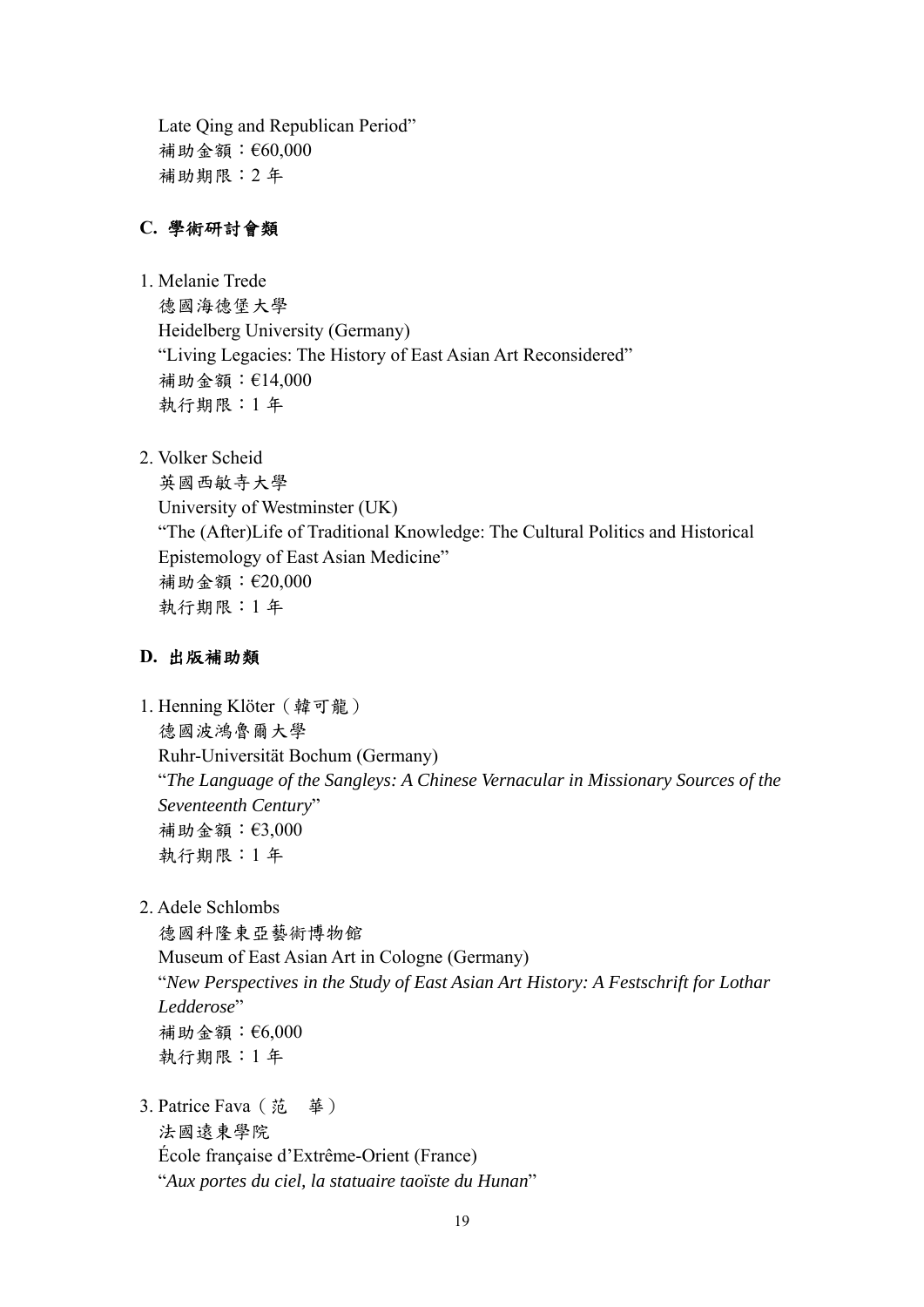Late Qing and Republican Period" 補助金額:€60,000 補助期限:2 年

## **C.** 學術研討會類

- 1. Melanie Trede 德國海德堡大學 Heidelberg University (Germany) "Living Legacies: The History of East Asian Art Reconsidered" 補助金額:€14,000 執行期限:1 年
- 2. Volker Scheid

英國西敏寺大學 University of Westminster (UK) "The (After)Life of Traditional Knowledge: The Cultural Politics and Historical Epistemology of East Asian Medicine" 補助金額:€20,000 執行期限:1 年

## **D.** 出版補助類

- 1. Henning Klöter (韓可龍) 德國波鴻魯爾大學 Ruhr-Universität Bochum (Germany) "*The Language of the Sangleys: A Chinese Vernacular in Missionary Sources of the Seventeenth Century*" 補助金額:€3,000 執行期限:1 年
- 2. Adele Schlombs

德國科隆東亞藝術博物館 Museum of East Asian Art in Cologne (Germany) "*New Perspectives in the Study of East Asian Art History: A Festschrift for Lothar Ledderose*" 補助金額:€6,000 執行期限:1 年

3. Patrice Fava(范 華) 法國遠東學院 École française d'Extrême-Orient (France) "*Aux portes du ciel, la statuaire taoïste du Hunan*"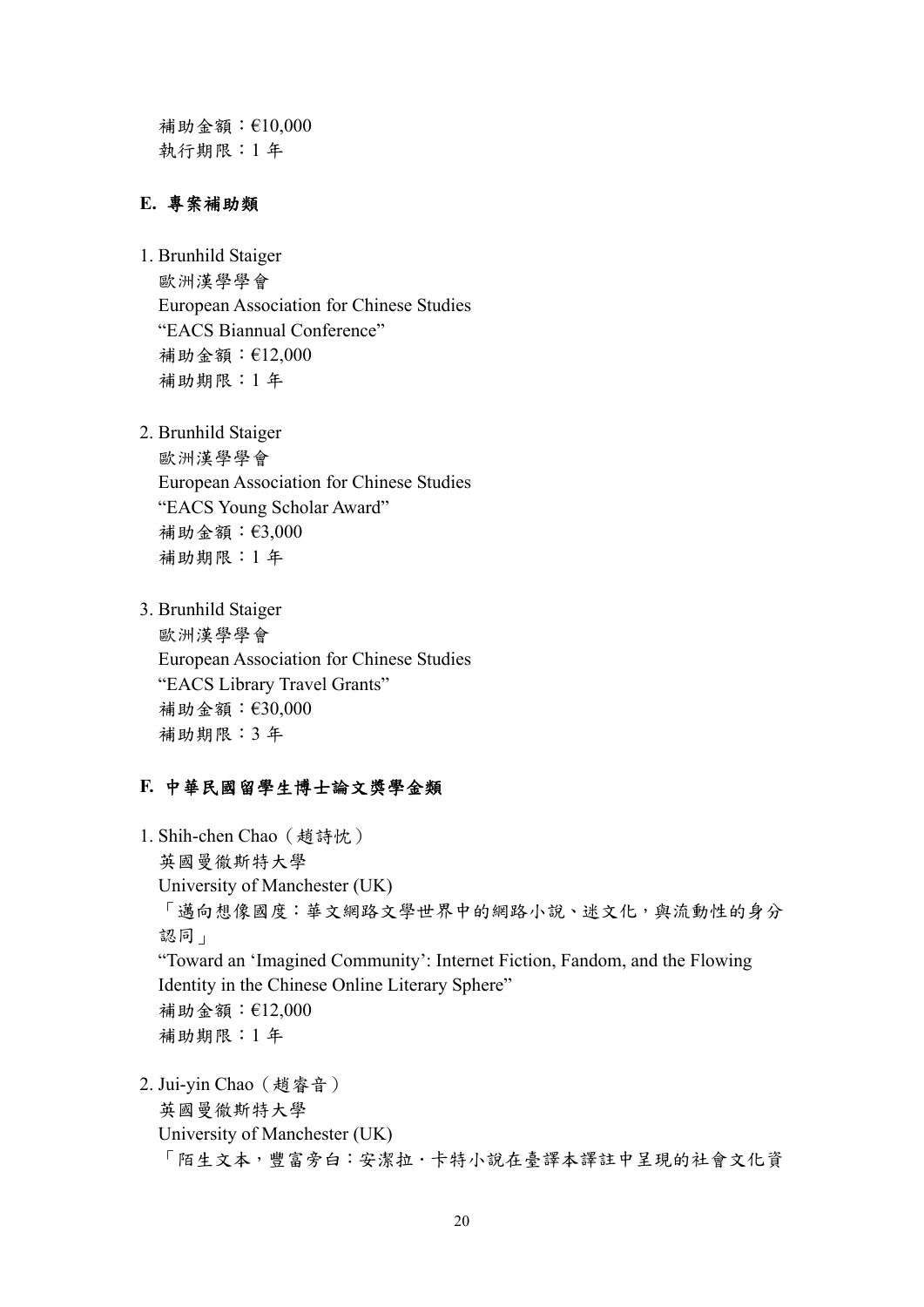補助金額:€10,000 執行期限:1 年

#### **E.** 專案補助類

- 1. Brunhild Staiger 歐洲漢學學會 European Association for Chinese Studies "EACS Biannual Conference" 補助金額:€12,000 補助期限:1 年
- 2. Brunhild Staiger

歐洲漢學學會 European Association for Chinese Studies "EACS Young Scholar Award" 補助金額:€3,000 補助期限:1 年

3. Brunhild Staiger 歐洲漢學學會 European Association for Chinese Studies "EACS Library Travel Grants" 補助金額:€30,000 補助期限:3 年

#### **F.** 中華民國留學生博士論文獎學金類

- 1. Shih-chen Chao(趙詩忱) 英國曼徹斯特大學 University of Manchester (UK) 「邁向想像國度:華文網路文學世界中的網路小說、迷文化,與流動性的身分 認同」 "Toward an 'Imagined Community': Internet Fiction, Fandom, and the Flowing Identity in the Chinese Online Literary Sphere" 補助金額:€12,000 補助期限:1 年 2. Jui-yin Chao(趙睿音) 英國曼徹斯特大學
	- University of Manchester (UK) 「陌生文本,豐富旁白:安潔拉.卡特小說在臺譯本譯註中呈現的社會文化資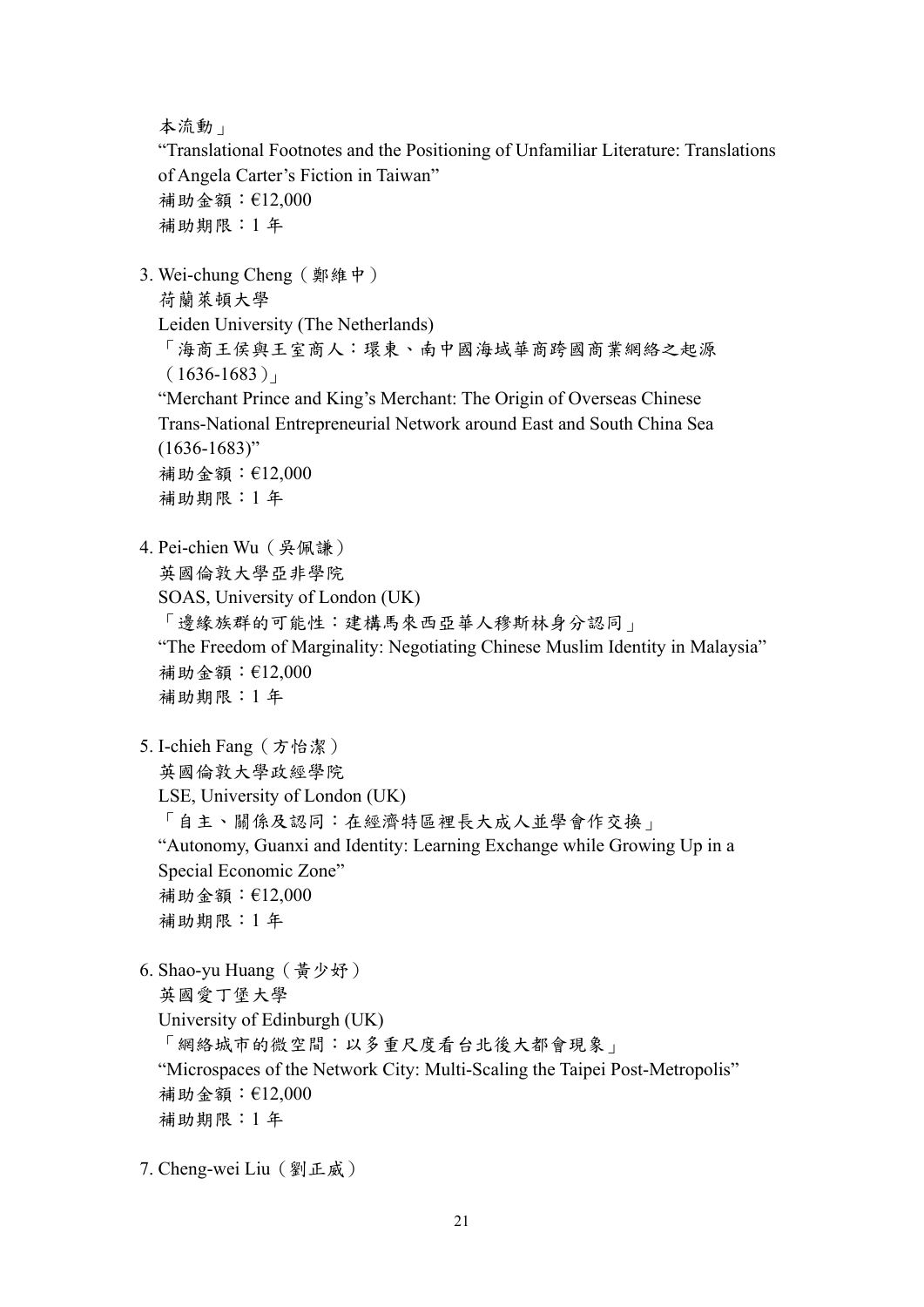本流動」

"Translational Footnotes and the Positioning of Unfamiliar Literature: Translations of Angela Carter's Fiction in Taiwan" 補助金額:€12,000 補助期限:1 年

3. Wei-chung Cheng(鄭維中)

荷蘭萊頓大學

Leiden University (The Netherlands)

「海商王侯與王室商人:環東、南中國海域華商跨國商業網絡之起源  $(1636-1683)$ 

"Merchant Prince and King's Merchant: The Origin of Overseas Chinese Trans-National Entrepreneurial Network around East and South China Sea  $(1636 - 1683)$ "

補助金額:€12,000 補助期限:1 年

4. Pei-chien Wu(吳佩謙)

英國倫敦大學亞非學院

- SOAS, University of London (UK)
- 「邊緣族群的可能性;建構馬來西亞華人穆斯林身分認同」
- "The Freedom of Marginality: Negotiating Chinese Muslim Identity in Malaysia" 補助金額:€12,000 補助期限:1 年
- 5. I-chieh Fang(方怡潔)

英國倫敦大學政經學院

- LSE, University of London (UK)
- 「自主、關係及認同:在經濟特區裡長大成人並學會作交換」

"Autonomy, Guanxi and Identity: Learning Exchange while Growing Up in a Special Economic Zone" 補助金額:€12,000

補助期限:1 年

6. Shao-yu Huang(黃少妤) 英國愛丁堡大學 University of Edinburgh (UK) 「網絡城市的微空間:以多重尺度看台北後大都會現象」 "Microspaces of the Network City: Multi-Scaling the Taipei Post-Metropolis" 補助金額:€12,000 補助期限:1 年

7. Cheng-wei Liu(劉正威)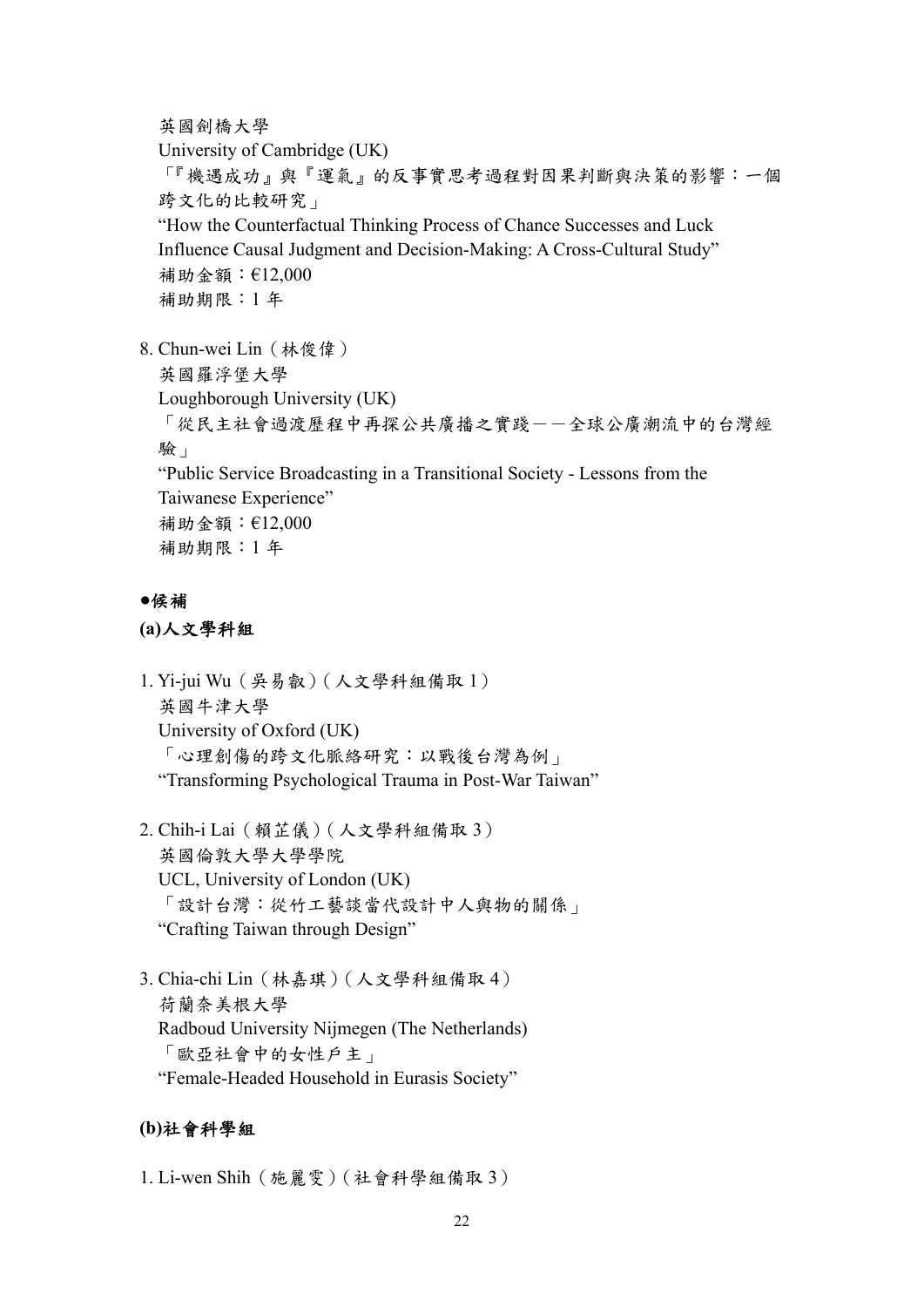英國劍橋大學

University of Cambridge (UK) 「『機遇成功』與『運氣』的反事實思考過程對因果判斷與決策的影響:一個 跨文化的比較研究」 "How the Counterfactual Thinking Process of Chance Successes and Luck Influence Causal Judgment and Decision-Making: A Cross-Cultural Study" 補助金額:€12,000 補助期限:1 年

8. Chun-wei Lin(林俊偉) 英國羅浮堡大學 Loughborough University (UK) 「從民主社會過渡歷程中再探公共廣播之實踐-一全球公廣潮流中的台灣經 驗」 "Public Service Broadcasting in a Transitional Society - Lessons from the Taiwanese Experience" 補助金額:€12,000 補助期限:1 年

#### **●**候補

**(a)**人文學科組

- 1. Yi-jui Wu(吳易叡)(人文學科組備取 1) 英國牛津大學 University of Oxford (UK) 「心理創傷的跨文化脈絡研究:以戰後台灣為例」 "Transforming Psychological Trauma in Post-War Taiwan"
- 2. Chih-i Lai(賴芷儀)(人文學科組備取 3) 英國倫敦大學大學學院 UCL, University of London (UK) 「設計台灣:從竹工藝談當代設計中人與物的關係」 "Crafting Taiwan through Design"
- 3. Chia-chi Lin(林嘉琪)(人文學科組備取 4) 荷蘭奈美根大學 Radboud University Nijmegen (The Netherlands) 「歐亞社會中的女性戶主」 "Female-Headed Household in Eurasis Society"

#### **(b)**社會科學組

1. Li-wen Shih(施麗雯)(社會科學組備取 3)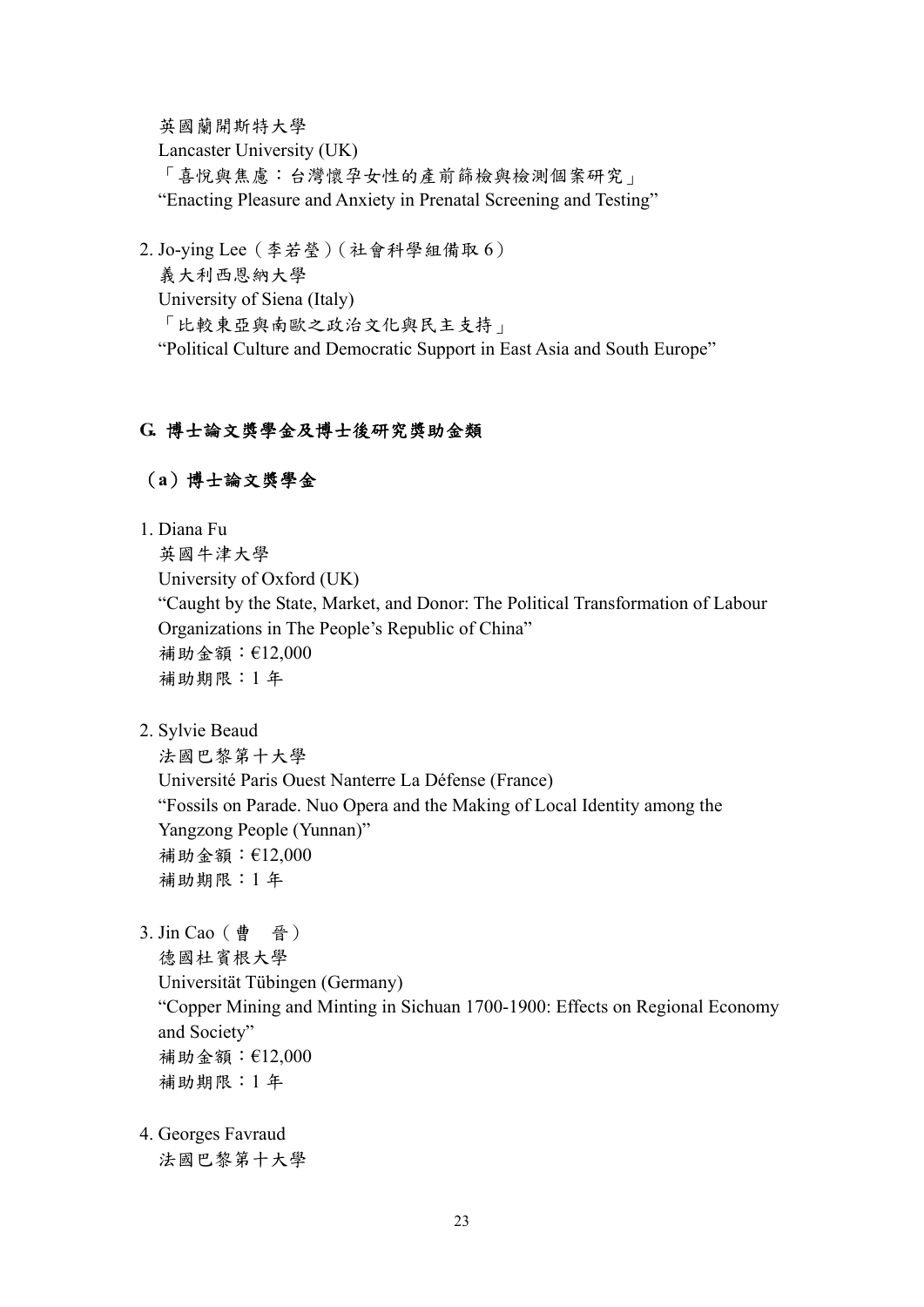英國蘭開斯特大學 Lancaster University (UK) 「喜悅與焦慮:台灣懷孕女性的產前篩檢與檢測個案研究」 "Enacting Pleasure and Anxiety in Prenatal Screening and Testing"

2. Jo-ying Lee(李若瑩)(社會科學組備取 6) 義大利西恩納大學 University of Siena (Italy) 「比較東亞與南歐之政治文化與民主支持」 "Political Culture and Democratic Support in East Asia and South Europe"

## **G.** 博士論文獎學金及博士後研究獎助金類

## (**a**)博士論文獎學金

1. Diana Fu

英國牛津大學 University of Oxford (UK) "Caught by the State, Market, and Donor: The Political Transformation of Labour Organizations in The People's Republic of China" 補助金額:€12,000 補助期限:1 年

2. Sylvie Beaud

法國巴黎第十大學 Université Paris Ouest Nanterre La Défense (France) "Fossils on Parade. Nuo Opera and the Making of Local Identity among the Yangzong People (Yunnan)" 補助金額:€12,000 補助期限:1 年

3. Jin Cao(曹 晉)

德國杜賓根大學 Universität Tübingen (Germany) "Copper Mining and Minting in Sichuan 1700-1900: Effects on Regional Economy and Society" 補助金額:€12,000 補助期限:1 年

4. Georges Favraud 法國巴黎第十大學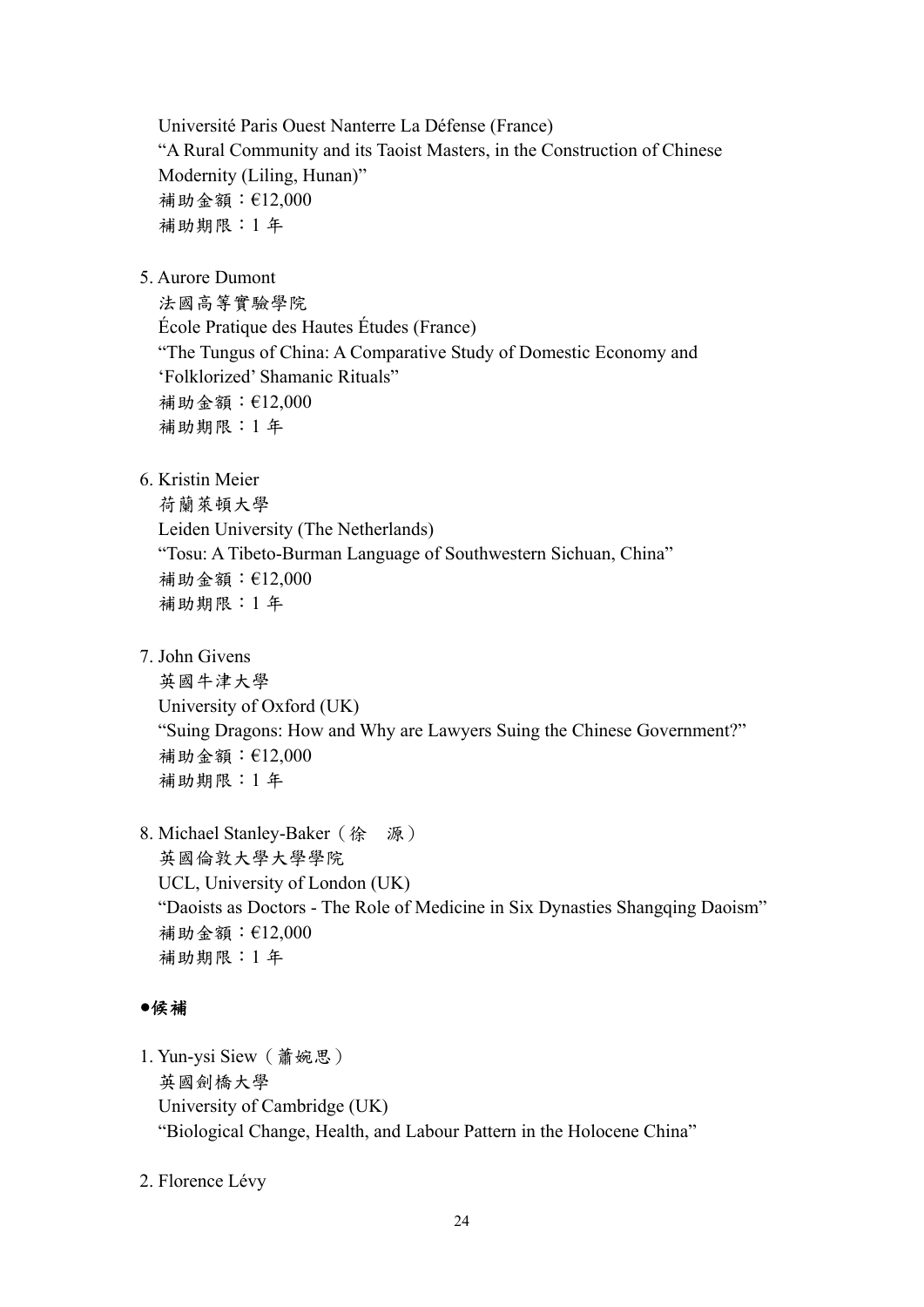Université Paris Ouest Nanterre La Défense (France) "A Rural Community and its Taoist Masters, in the Construction of Chinese Modernity (Liling, Hunan)" 補助金額:€12,000 補助期限:1 年

5. Aurore Dumont

法國高等實驗學院 École Pratique des Hautes Études (France) "The Tungus of China: A Comparative Study of Domestic Economy and 'Folklorized' Shamanic Rituals" 補助金額:€12,000 補助期限:1 年

6. Kristin Meier

荷蘭萊頓大學 Leiden University (The Netherlands) "Tosu: A Tibeto-Burman Language of Southwestern Sichuan, China" 補助金額:€12,000 補助期限:1 年

7. John Givens

英國牛津大學 University of Oxford (UK) "Suing Dragons: How and Why are Lawyers Suing the Chinese Government?" 補助金額:€12,000 補助期限:1 年

8. Michael Stanley-Baker(徐 源) 英國倫敦大學大學學院 UCL, University of London (UK) "Daoists as Doctors - The Role of Medicine in Six Dynasties Shangqing Daoism" 補助金額:€12,000 補助期限:1 年

# **●**候補

- 1. Yun-ysi Siew(蕭婉思) 英國劍橋大學 University of Cambridge (UK) "Biological Change, Health, and Labour Pattern in the Holocene China"
- 2. Florence Lévy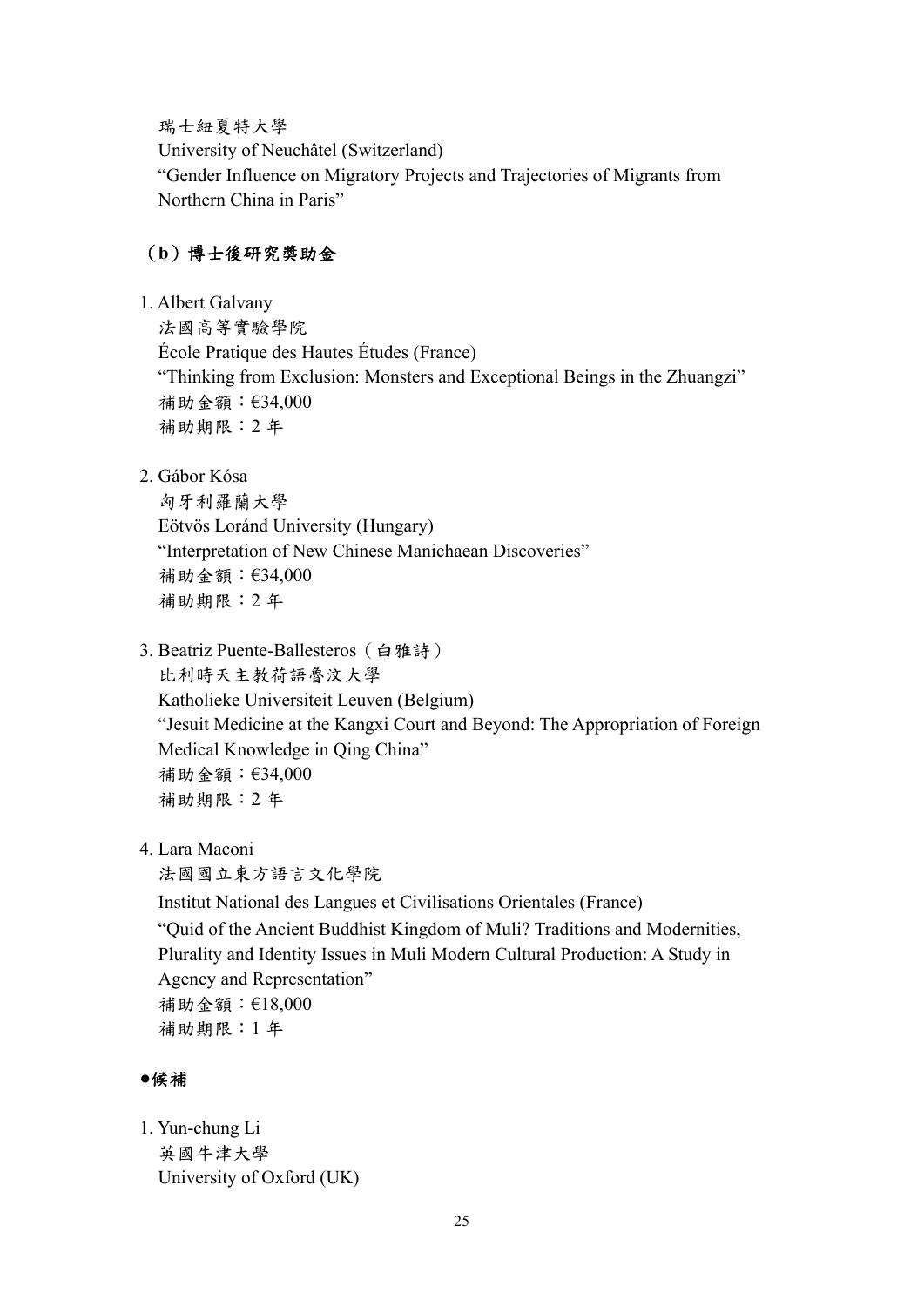瑞士紐夏特大學

University of Neuchâtel (Switzerland) "Gender Influence on Migratory Projects and Trajectories of Migrants from Northern China in Paris"

# (**b**)博士後研究獎助金

1. Albert Galvany

法國高等實驗學院

École Pratique des Hautes Études (France) "Thinking from Exclusion: Monsters and Exceptional Beings in the Zhuangzi" 補助金額:€34,000 補助期限:2 年

2. Gábor Kósa

匈牙利羅蘭大學 Eötvös Loránd University (Hungary) "Interpretation of New Chinese Manichaean Discoveries" 補助金額:€34,000 補助期限:2 年

- 3. Beatriz Puente-Ballesteros(白雅詩) 比利時天主教荷語魯汶大學 Katholieke Universiteit Leuven (Belgium) "Jesuit Medicine at the Kangxi Court and Beyond: The Appropriation of Foreign Medical Knowledge in Qing China" 補助金額:€34,000 補助期限:2 年
- 4. Lara Maconi

法國國立東方語言文化學院

Institut National des Langues et Civilisations Orientales (France) "Quid of the Ancient Buddhist Kingdom of Muli? Traditions and Modernities, Plurality and Identity Issues in Muli Modern Cultural Production: A Study in Agency and Representation" 補助金額:€18,000 補助期限:1 年

## **●**候補

1. Yun-chung Li 英國牛津大學 University of Oxford (UK)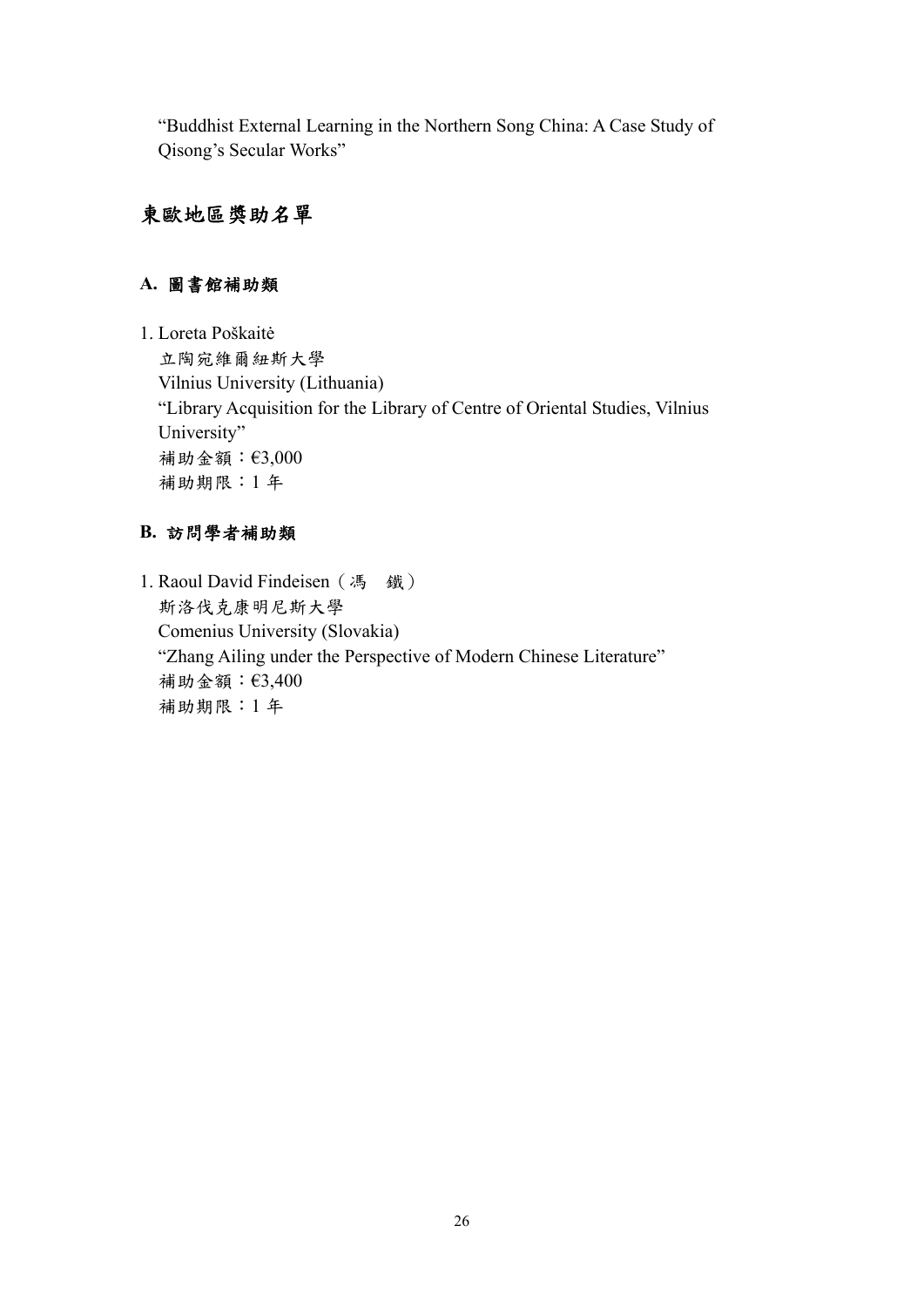"Buddhist External Learning in the Northern Song China: A Case Study of Qisong's Secular Works"

# 東歐地區獎助名單

## **A.** 圖書館補助類

1. Loreta Poškaitė 立陶宛維爾紐斯大學 Vilnius University (Lithuania) "Library Acquisition for the Library of Centre of Oriental Studies, Vilnius University" 補助金額:€3,000 補助期限:1 年

#### **B.** 訪問學者補助類

1. Raoul David Findeisen (馮 鐵) 斯洛伐克康明尼斯大學 Comenius University (Slovakia) "Zhang Ailing under the Perspective of Modern Chinese Literature" 補助金額:€3,400 補助期限:1 年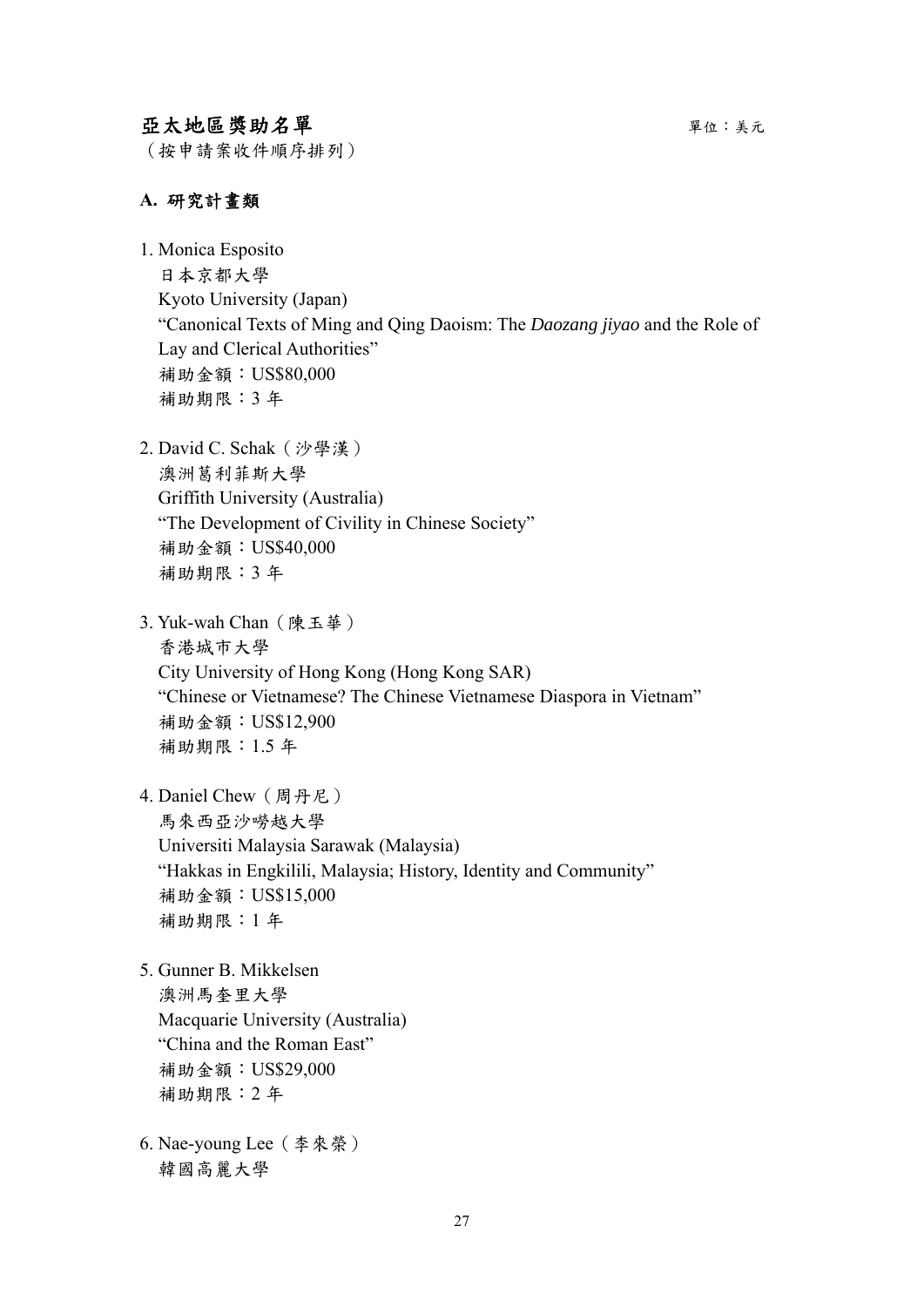# 亞太地區獎助名單 キャンプ アンチュー エンジェン エンディング エンチェック かいしょう

(按申請案收件順序排列)

#### **A.** 研究計畫類

1. Monica Esposito 日本京都大學 Kyoto University (Japan) "Canonical Texts of Ming and Qing Daoism: The *Daozang jiyao* and the Role of Lay and Clerical Authorities" 補助金額:US\$80,000 補助期限:3 年

- 2. David C. Schak(沙學漢) 澳洲葛利菲斯大學 Griffith University (Australia) "The Development of Civility in Chinese Society" 補助金額:US\$40,000 補助期限:3 年
- 3. Yuk-wah Chan(陳玉華) 香港城市大學 City University of Hong Kong (Hong Kong SAR) "Chinese or Vietnamese? The Chinese Vietnamese Diaspora in Vietnam" 補助金額:US\$12,900 補助期限:1.5 年
- 4. Daniel Chew(周丹尼) 馬來西亞沙嘮越大學 Universiti Malaysia Sarawak (Malaysia) "Hakkas in Engkilili, Malaysia; History, Identity and Community" 補助金額:US\$15,000 補助期限:1 年

5. Gunner B. Mikkelsen 澳洲馬奎里大學 Macquarie University (Australia) "China and the Roman East" 補助金額:US\$29,000 補助期限:2 年

6. Nae-young Lee(李來榮) 韓國高麗大學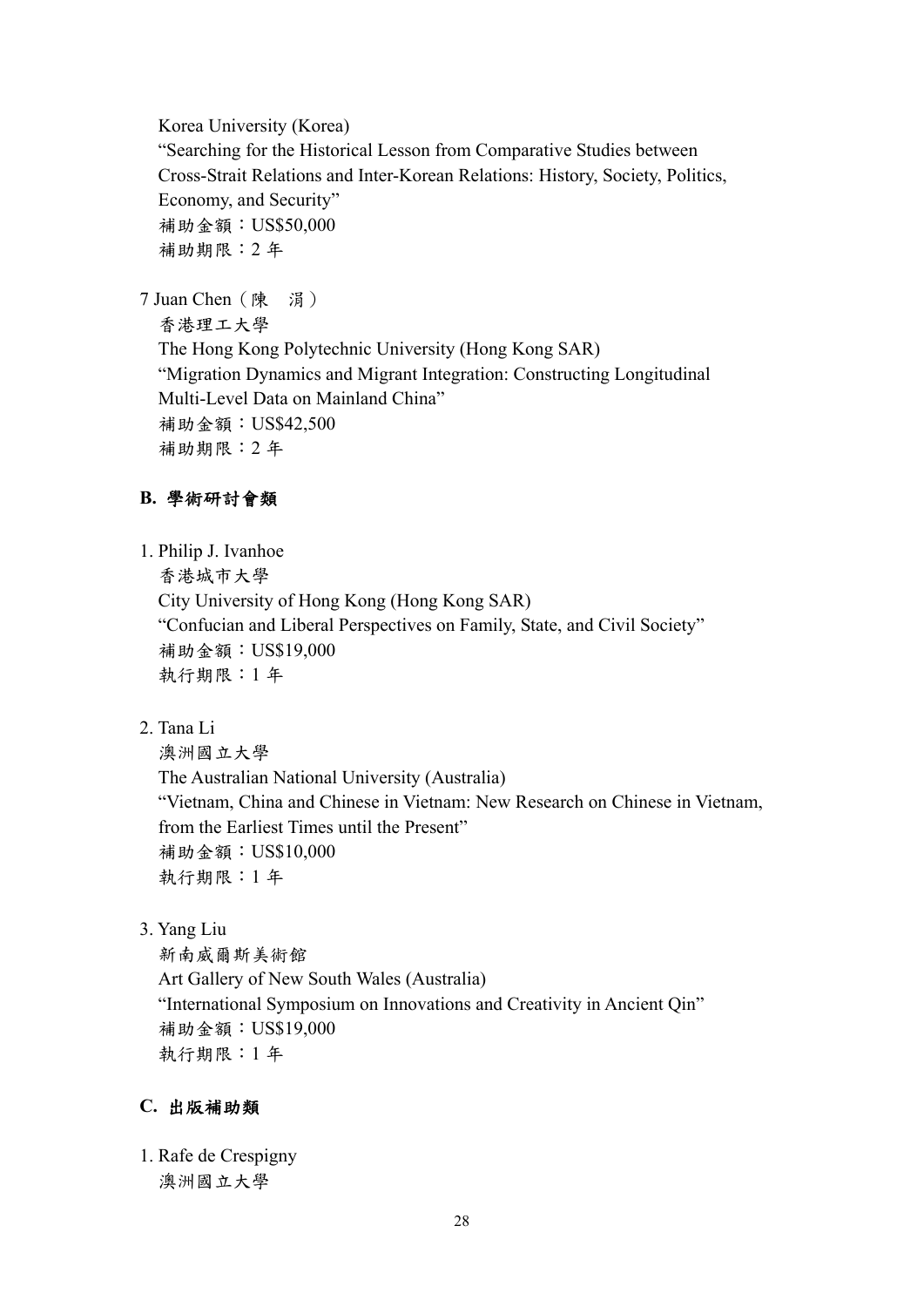Korea University (Korea)

"Searching for the Historical Lesson from Comparative Studies between Cross-Strait Relations and Inter-Korean Relations: History, Society, Politics, Economy, and Security" 補助金額:US\$50,000 補助期限:2 年

7 Juan Chen(陳 涓)

香港理工大學 The Hong Kong Polytechnic University (Hong Kong SAR) "Migration Dynamics and Migrant Integration: Constructing Longitudinal Multi-Level Data on Mainland China" 補助金額:US\$42,500 補助期限:2 年

# **B.** 學術研討會類

1. Philip J. Ivanhoe

香港城市大學

City University of Hong Kong (Hong Kong SAR) "Confucian and Liberal Perspectives on Family, State, and Civil Society" 補助金額:US\$19,000 執行期限:1 年

2. Tana Li

澳洲國立大學 The Australian National University (Australia) "Vietnam, China and Chinese in Vietnam: New Research on Chinese in Vietnam, from the Earliest Times until the Present" 補助金額:US\$10,000 執行期限:1 年

3. Yang Liu

新南威爾斯美術館 Art Gallery of New South Wales (Australia) "International Symposium on Innovations and Creativity in Ancient Qin" 補助金額:US\$19,000 執行期限:1 年

## **C.** 出版補助類

1. Rafe de Crespigny 澳洲國立大學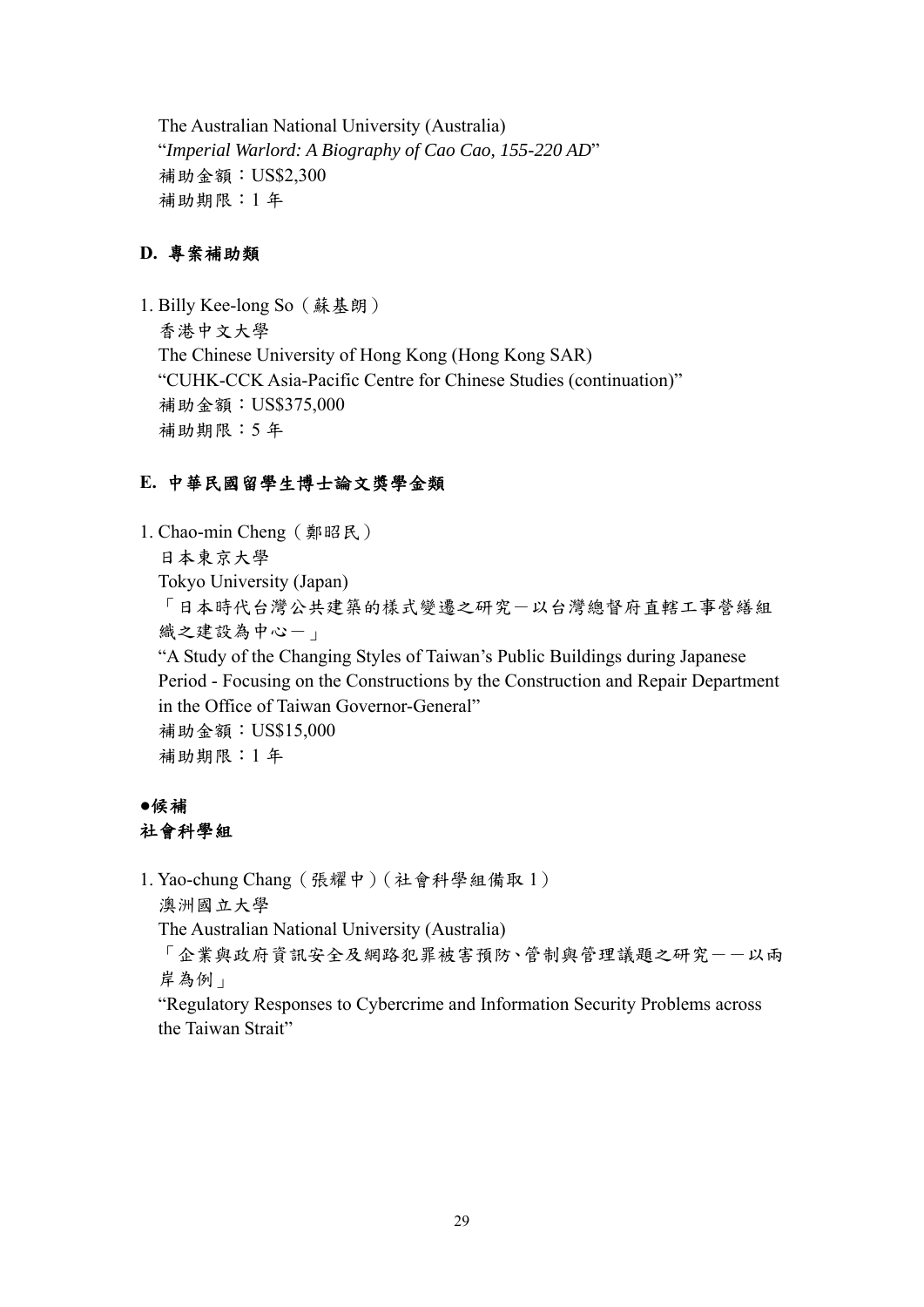The Australian National University (Australia) "*Imperial Warlord: A Biography of Cao Cao, 155-220 AD*" 補助金額:US\$2,300 補助期限:1 年

## **D.** 專案補助類

1. Billy Kee-long So(蘇基朗) 香港中文大學 The Chinese University of Hong Kong (Hong Kong SAR) "CUHK-CCK Asia-Pacific Centre for Chinese Studies (continuation)" 補助金額:US\$375,000 補助期限:5 年

# **E.** 中華民國留學生博士論文獎學金類

1. Chao-min Cheng(鄭昭民) 日本東京大學 Tokyo University (Japan) 「日本時代台灣公共建築的樣式變遷之研究-以台灣總督府直轄工事營繕組 織之建設為中心-」 "A Study of the Changing Styles of Taiwan's Public Buildings during Japanese Period - Focusing on the Constructions by the Construction and Repair Department in the Office of Taiwan Governor-General" 補助金額:US\$15,000 補助期限:1 年

# **●**候補 社會科學組

1. Yao-chung Chang(張耀中)(社會科學組備取 1)

澳洲國立大學

The Australian National University (Australia)

「企業與政府資訊安全及網路犯罪被害預防、管制與管理議題之研究一一以兩 岸為例」

"Regulatory Responses to Cybercrime and Information Security Problems across the Taiwan Strait"